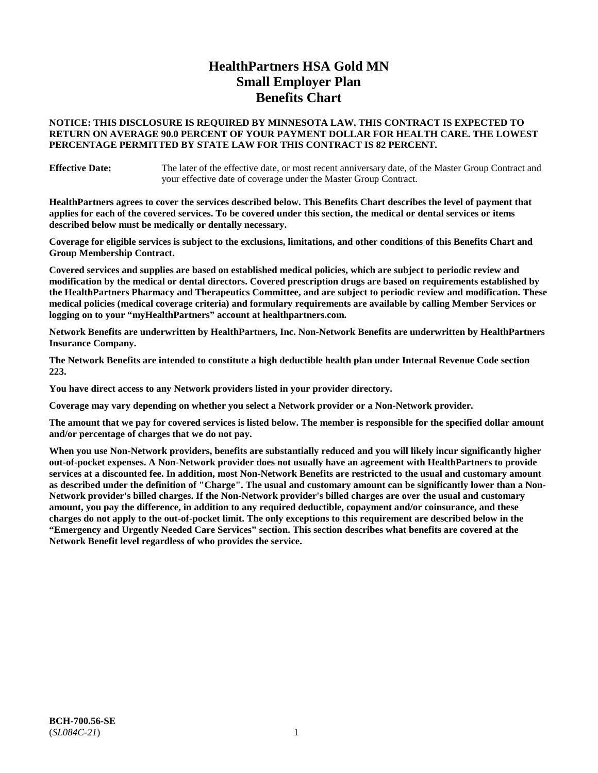# **HealthPartners HSA Gold MN Small Employer Plan Benefits Chart**

## **NOTICE: THIS DISCLOSURE IS REQUIRED BY MINNESOTA LAW. THIS CONTRACT IS EXPECTED TO RETURN ON AVERAGE 90.0 PERCENT OF YOUR PAYMENT DOLLAR FOR HEALTH CARE. THE LOWEST PERCENTAGE PERMITTED BY STATE LAW FOR THIS CONTRACT IS 82 PERCENT.**

**Effective Date:** The later of the effective date, or most recent anniversary date, of the Master Group Contract and your effective date of coverage under the Master Group Contract.

**HealthPartners agrees to cover the services described below. This Benefits Chart describes the level of payment that applies for each of the covered services. To be covered under this section, the medical or dental services or items described below must be medically or dentally necessary.**

**Coverage for eligible services is subject to the exclusions, limitations, and other conditions of this Benefits Chart and Group Membership Contract.**

**Covered services and supplies are based on established medical policies, which are subject to periodic review and modification by the medical or dental directors. Covered prescription drugs are based on requirements established by the HealthPartners Pharmacy and Therapeutics Committee, and are subject to periodic review and modification. These medical policies (medical coverage criteria) and formulary requirements are available by calling Member Services or logging on to your "myHealthPartners" account at [healthpartners.com.](https://www.healthpartners.com/hp/index.html)**

**Network Benefits are underwritten by HealthPartners, Inc. Non-Network Benefits are underwritten by HealthPartners Insurance Company.** 

**The Network Benefits are intended to constitute a high deductible health plan under Internal Revenue Code section 223.** 

**You have direct access to any Network providers listed in your provider directory.**

**Coverage may vary depending on whether you select a Network provider or a Non-Network provider.**

**The amount that we pay for covered services is listed below. The member is responsible for the specified dollar amount and/or percentage of charges that we do not pay.**

**When you use Non-Network providers, benefits are substantially reduced and you will likely incur significantly higher out-of-pocket expenses. A Non-Network provider does not usually have an agreement with HealthPartners to provide services at a discounted fee. In addition, most Non-Network Benefits are restricted to the usual and customary amount as described under the definition of "Charge". The usual and customary amount can be significantly lower than a Non-Network provider's billed charges. If the Non-Network provider's billed charges are over the usual and customary amount, you pay the difference, in addition to any required deductible, copayment and/or coinsurance, and these charges do not apply to the out-of-pocket limit. The only exceptions to this requirement are described below in the "Emergency and Urgently Needed Care Services" section. This section describes what benefits are covered at the Network Benefit level regardless of who provides the service.**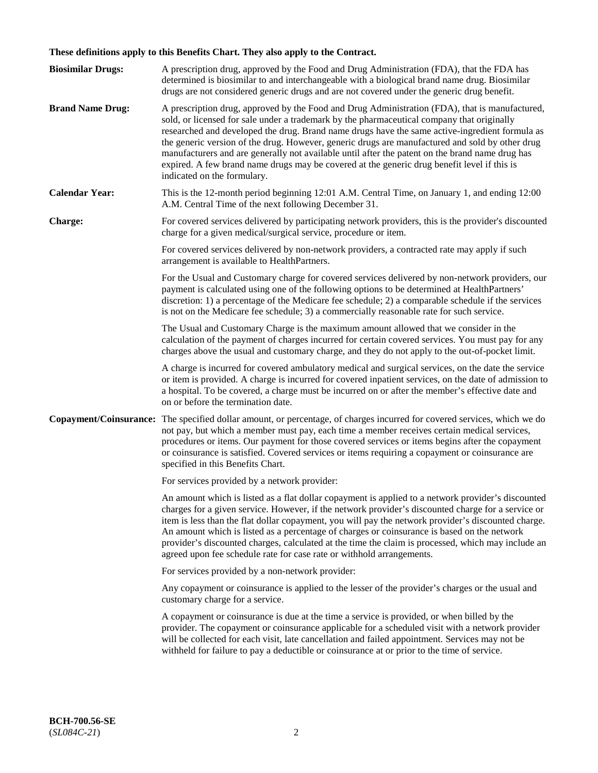# **These definitions apply to this Benefits Chart. They also apply to the Contract.**

| <b>Biosimilar Drugs:</b> | A prescription drug, approved by the Food and Drug Administration (FDA), that the FDA has<br>determined is biosimilar to and interchangeable with a biological brand name drug. Biosimilar<br>drugs are not considered generic drugs and are not covered under the generic drug benefit.                                                                                                                                                                                                                                                                                                                                           |
|--------------------------|------------------------------------------------------------------------------------------------------------------------------------------------------------------------------------------------------------------------------------------------------------------------------------------------------------------------------------------------------------------------------------------------------------------------------------------------------------------------------------------------------------------------------------------------------------------------------------------------------------------------------------|
| <b>Brand Name Drug:</b>  | A prescription drug, approved by the Food and Drug Administration (FDA), that is manufactured,<br>sold, or licensed for sale under a trademark by the pharmaceutical company that originally<br>researched and developed the drug. Brand name drugs have the same active-ingredient formula as<br>the generic version of the drug. However, generic drugs are manufactured and sold by other drug<br>manufacturers and are generally not available until after the patent on the brand name drug has<br>expired. A few brand name drugs may be covered at the generic drug benefit level if this is<br>indicated on the formulary. |
| <b>Calendar Year:</b>    | This is the 12-month period beginning 12:01 A.M. Central Time, on January 1, and ending 12:00<br>A.M. Central Time of the next following December 31.                                                                                                                                                                                                                                                                                                                                                                                                                                                                              |
| <b>Charge:</b>           | For covered services delivered by participating network providers, this is the provider's discounted<br>charge for a given medical/surgical service, procedure or item.                                                                                                                                                                                                                                                                                                                                                                                                                                                            |
|                          | For covered services delivered by non-network providers, a contracted rate may apply if such<br>arrangement is available to HealthPartners.                                                                                                                                                                                                                                                                                                                                                                                                                                                                                        |
|                          | For the Usual and Customary charge for covered services delivered by non-network providers, our<br>payment is calculated using one of the following options to be determined at HealthPartners'<br>discretion: 1) a percentage of the Medicare fee schedule; 2) a comparable schedule if the services<br>is not on the Medicare fee schedule; 3) a commercially reasonable rate for such service.                                                                                                                                                                                                                                  |
|                          | The Usual and Customary Charge is the maximum amount allowed that we consider in the<br>calculation of the payment of charges incurred for certain covered services. You must pay for any<br>charges above the usual and customary charge, and they do not apply to the out-of-pocket limit.                                                                                                                                                                                                                                                                                                                                       |
|                          | A charge is incurred for covered ambulatory medical and surgical services, on the date the service<br>or item is provided. A charge is incurred for covered inpatient services, on the date of admission to<br>a hospital. To be covered, a charge must be incurred on or after the member's effective date and<br>on or before the termination date.                                                                                                                                                                                                                                                                              |
| Copayment/Coinsurance:   | The specified dollar amount, or percentage, of charges incurred for covered services, which we do<br>not pay, but which a member must pay, each time a member receives certain medical services,<br>procedures or items. Our payment for those covered services or items begins after the copayment<br>or coinsurance is satisfied. Covered services or items requiring a copayment or coinsurance are<br>specified in this Benefits Chart.                                                                                                                                                                                        |
|                          | For services provided by a network provider:                                                                                                                                                                                                                                                                                                                                                                                                                                                                                                                                                                                       |
|                          | An amount which is listed as a flat dollar copayment is applied to a network provider's discounted<br>charges for a given service. However, if the network provider's discounted charge for a service or<br>item is less than the flat dollar copayment, you will pay the network provider's discounted charge.<br>An amount which is listed as a percentage of charges or coinsurance is based on the network<br>provider's discounted charges, calculated at the time the claim is processed, which may include an<br>agreed upon fee schedule rate for case rate or withhold arrangements.                                      |
|                          | For services provided by a non-network provider:                                                                                                                                                                                                                                                                                                                                                                                                                                                                                                                                                                                   |
|                          | Any copayment or coinsurance is applied to the lesser of the provider's charges or the usual and<br>customary charge for a service.                                                                                                                                                                                                                                                                                                                                                                                                                                                                                                |
|                          | A copayment or coinsurance is due at the time a service is provided, or when billed by the<br>provider. The copayment or coinsurance applicable for a scheduled visit with a network provider<br>will be collected for each visit, late cancellation and failed appointment. Services may not be<br>withheld for failure to pay a deductible or coinsurance at or prior to the time of service.                                                                                                                                                                                                                                    |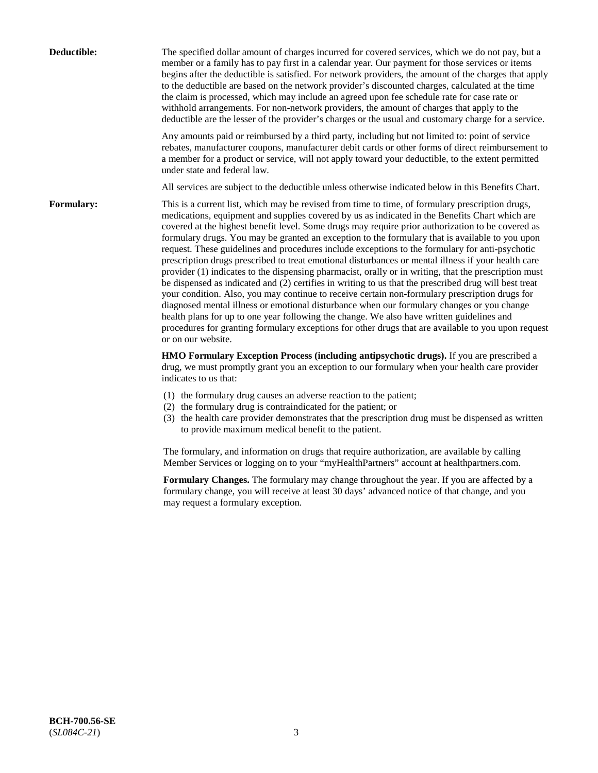| Deductible:       | The specified dollar amount of charges incurred for covered services, which we do not pay, but a<br>member or a family has to pay first in a calendar year. Our payment for those services or items<br>begins after the deductible is satisfied. For network providers, the amount of the charges that apply<br>to the deductible are based on the network provider's discounted charges, calculated at the time<br>the claim is processed, which may include an agreed upon fee schedule rate for case rate or<br>withhold arrangements. For non-network providers, the amount of charges that apply to the<br>deductible are the lesser of the provider's charges or the usual and customary charge for a service.                                                                                                                                                                                                                                                                                                                                                                                                                                                                                                                                             |
|-------------------|------------------------------------------------------------------------------------------------------------------------------------------------------------------------------------------------------------------------------------------------------------------------------------------------------------------------------------------------------------------------------------------------------------------------------------------------------------------------------------------------------------------------------------------------------------------------------------------------------------------------------------------------------------------------------------------------------------------------------------------------------------------------------------------------------------------------------------------------------------------------------------------------------------------------------------------------------------------------------------------------------------------------------------------------------------------------------------------------------------------------------------------------------------------------------------------------------------------------------------------------------------------|
|                   | Any amounts paid or reimbursed by a third party, including but not limited to: point of service<br>rebates, manufacturer coupons, manufacturer debit cards or other forms of direct reimbursement to<br>a member for a product or service, will not apply toward your deductible, to the extent permitted<br>under state and federal law.                                                                                                                                                                                                                                                                                                                                                                                                                                                                                                                                                                                                                                                                                                                                                                                                                                                                                                                        |
|                   | All services are subject to the deductible unless otherwise indicated below in this Benefits Chart.                                                                                                                                                                                                                                                                                                                                                                                                                                                                                                                                                                                                                                                                                                                                                                                                                                                                                                                                                                                                                                                                                                                                                              |
| <b>Formulary:</b> | This is a current list, which may be revised from time to time, of formulary prescription drugs,<br>medications, equipment and supplies covered by us as indicated in the Benefits Chart which are<br>covered at the highest benefit level. Some drugs may require prior authorization to be covered as<br>formulary drugs. You may be granted an exception to the formulary that is available to you upon<br>request. These guidelines and procedures include exceptions to the formulary for anti-psychotic<br>prescription drugs prescribed to treat emotional disturbances or mental illness if your health care<br>provider (1) indicates to the dispensing pharmacist, orally or in writing, that the prescription must<br>be dispensed as indicated and (2) certifies in writing to us that the prescribed drug will best treat<br>your condition. Also, you may continue to receive certain non-formulary prescription drugs for<br>diagnosed mental illness or emotional disturbance when our formulary changes or you change<br>health plans for up to one year following the change. We also have written guidelines and<br>procedures for granting formulary exceptions for other drugs that are available to you upon request<br>or on our website. |
|                   | HMO Formulary Exception Process (including antipsychotic drugs). If you are prescribed a<br>drug, we must promptly grant you an exception to our formulary when your health care provider<br>indicates to us that:                                                                                                                                                                                                                                                                                                                                                                                                                                                                                                                                                                                                                                                                                                                                                                                                                                                                                                                                                                                                                                               |
|                   | (1) the formulary drug causes an adverse reaction to the patient;<br>(2) the formulary drug is contraindicated for the patient; or<br>(3) the health care provider demonstrates that the prescription drug must be dispensed as written<br>to provide maximum medical benefit to the patient.                                                                                                                                                                                                                                                                                                                                                                                                                                                                                                                                                                                                                                                                                                                                                                                                                                                                                                                                                                    |
|                   | The formulary, and information on drugs that require authorization, are available by calling<br>Member Services or logging on to your "myHealthPartners" account at healthpartners.com.                                                                                                                                                                                                                                                                                                                                                                                                                                                                                                                                                                                                                                                                                                                                                                                                                                                                                                                                                                                                                                                                          |
|                   | Formulary Changes. The formulary may change throughout the year. If you are affected by a<br>formulary change, you will receive at least 30 days' advanced notice of that change, and you<br>may request a formulary exception.                                                                                                                                                                                                                                                                                                                                                                                                                                                                                                                                                                                                                                                                                                                                                                                                                                                                                                                                                                                                                                  |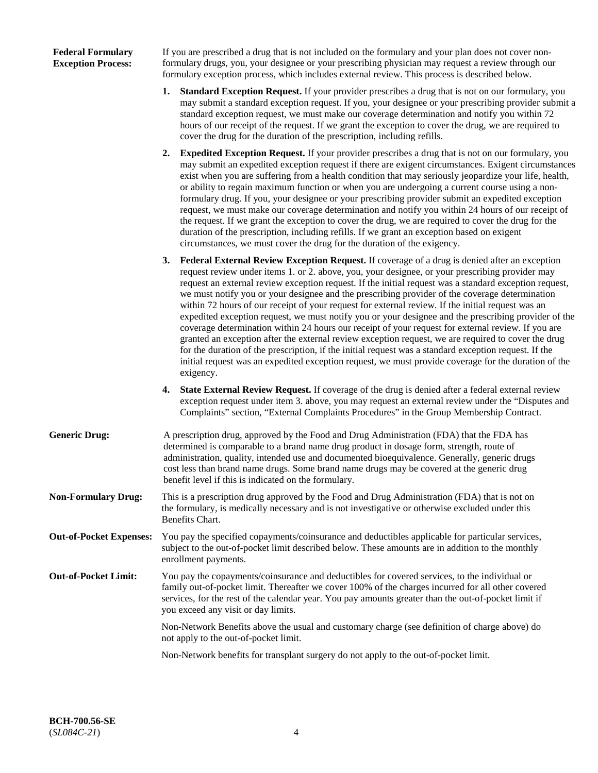## **Federal Formulary Exception Process:**

If you are prescribed a drug that is not included on the formulary and your plan does not cover nonformulary drugs, you, your designee or your prescribing physician may request a review through our formulary exception process, which includes external review. This process is described below.

- **1. Standard Exception Request.** If your provider prescribes a drug that is not on our formulary, you may submit a standard exception request. If you, your designee or your prescribing provider submit a standard exception request, we must make our coverage determination and notify you within 72 hours of our receipt of the request. If we grant the exception to cover the drug, we are required to cover the drug for the duration of the prescription, including refills.
- **2. Expedited Exception Request.** If your provider prescribes a drug that is not on our formulary, you may submit an expedited exception request if there are exigent circumstances. Exigent circumstances exist when you are suffering from a health condition that may seriously jeopardize your life, health, or ability to regain maximum function or when you are undergoing a current course using a nonformulary drug. If you, your designee or your prescribing provider submit an expedited exception request, we must make our coverage determination and notify you within 24 hours of our receipt of the request. If we grant the exception to cover the drug, we are required to cover the drug for the duration of the prescription, including refills. If we grant an exception based on exigent circumstances, we must cover the drug for the duration of the exigency.
- **3. Federal External Review Exception Request.** If coverage of a drug is denied after an exception request review under items 1. or 2. above, you, your designee, or your prescribing provider may request an external review exception request. If the initial request was a standard exception request, we must notify you or your designee and the prescribing provider of the coverage determination within 72 hours of our receipt of your request for external review. If the initial request was an expedited exception request, we must notify you or your designee and the prescribing provider of the coverage determination within 24 hours our receipt of your request for external review. If you are granted an exception after the external review exception request, we are required to cover the drug for the duration of the prescription, if the initial request was a standard exception request. If the initial request was an expedited exception request, we must provide coverage for the duration of the exigency.
- **4. State External Review Request.** If coverage of the drug is denied after a federal external review exception request under item 3. above, you may request an external review under the "Disputes and Complaints" section, "External Complaints Procedures" in the Group Membership Contract.
- **Generic Drug:** A prescription drug, approved by the Food and Drug Administration (FDA) that the FDA has determined is comparable to a brand name drug product in dosage form, strength, route of administration, quality, intended use and documented bioequivalence. Generally, generic drugs cost less than brand name drugs. Some brand name drugs may be covered at the generic drug benefit level if this is indicated on the formulary.
- **Non-Formulary Drug:** This is a prescription drug approved by the Food and Drug Administration (FDA) that is not on the formulary, is medically necessary and is not investigative or otherwise excluded under this Benefits Chart.
- **Out-of-Pocket Expenses:** You pay the specified copayments/coinsurance and deductibles applicable for particular services, subject to the out-of-pocket limit described below. These amounts are in addition to the monthly enrollment payments.
- **Out-of-Pocket Limit:** You pay the copayments/coinsurance and deductibles for covered services, to the individual or family out-of-pocket limit. Thereafter we cover 100% of the charges incurred for all other covered services, for the rest of the calendar year. You pay amounts greater than the out-of-pocket limit if you exceed any visit or day limits.

Non-Network Benefits above the usual and customary charge (see definition of charge above) do not apply to the out-of-pocket limit.

Non-Network benefits for transplant surgery do not apply to the out-of-pocket limit.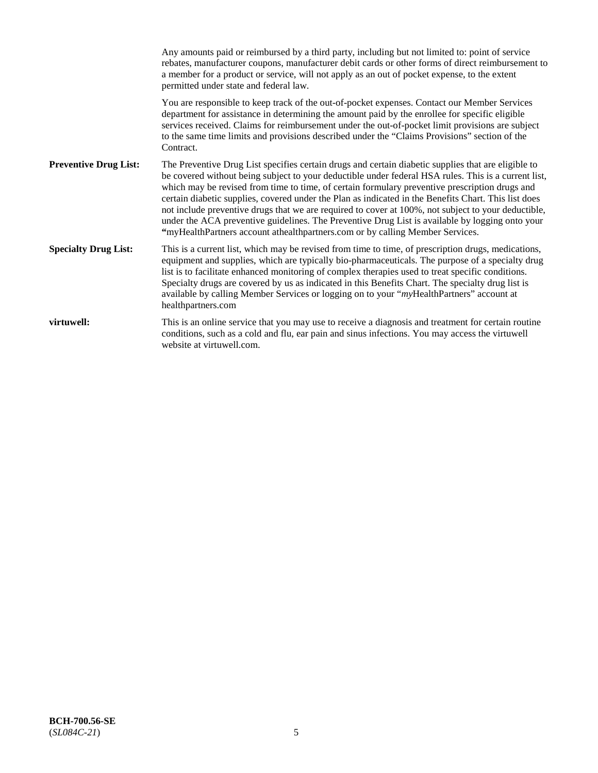|                              | Any amounts paid or reimbursed by a third party, including but not limited to: point of service<br>rebates, manufacturer coupons, manufacturer debit cards or other forms of direct reimbursement to<br>a member for a product or service, will not apply as an out of pocket expense, to the extent<br>permitted under state and federal law.                                                                                                                                                                                                                                                                                                                                                                   |
|------------------------------|------------------------------------------------------------------------------------------------------------------------------------------------------------------------------------------------------------------------------------------------------------------------------------------------------------------------------------------------------------------------------------------------------------------------------------------------------------------------------------------------------------------------------------------------------------------------------------------------------------------------------------------------------------------------------------------------------------------|
|                              | You are responsible to keep track of the out-of-pocket expenses. Contact our Member Services<br>department for assistance in determining the amount paid by the enrollee for specific eligible<br>services received. Claims for reimbursement under the out-of-pocket limit provisions are subject<br>to the same time limits and provisions described under the "Claims Provisions" section of the<br>Contract.                                                                                                                                                                                                                                                                                                 |
| <b>Preventive Drug List:</b> | The Preventive Drug List specifies certain drugs and certain diabetic supplies that are eligible to<br>be covered without being subject to your deductible under federal HSA rules. This is a current list,<br>which may be revised from time to time, of certain formulary preventive prescription drugs and<br>certain diabetic supplies, covered under the Plan as indicated in the Benefits Chart. This list does<br>not include preventive drugs that we are required to cover at 100%, not subject to your deductible,<br>under the ACA preventive guidelines. The Preventive Drug List is available by logging onto your<br>"myHealthPartners account athealthpartners.com or by calling Member Services. |
| <b>Specialty Drug List:</b>  | This is a current list, which may be revised from time to time, of prescription drugs, medications,<br>equipment and supplies, which are typically bio-pharmaceuticals. The purpose of a specialty drug<br>list is to facilitate enhanced monitoring of complex therapies used to treat specific conditions.<br>Specialty drugs are covered by us as indicated in this Benefits Chart. The specialty drug list is<br>available by calling Member Services or logging on to your "myHealthPartners" account at<br>healthpartners.com                                                                                                                                                                              |
| virtuwell:                   | This is an online service that you may use to receive a diagnosis and treatment for certain routine<br>conditions, such as a cold and flu, ear pain and sinus infections. You may access the virtuwell<br>website at virtuwell.com.                                                                                                                                                                                                                                                                                                                                                                                                                                                                              |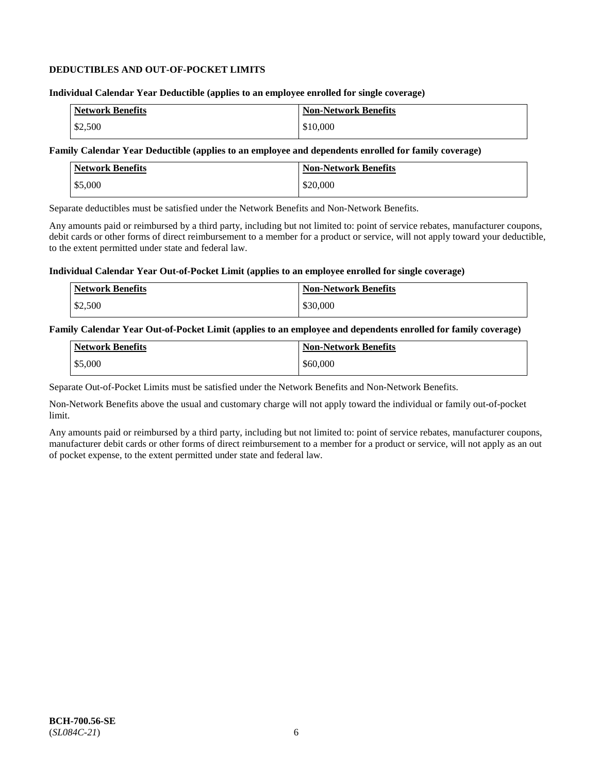## **DEDUCTIBLES AND OUT-OF-POCKET LIMITS**

#### **Individual Calendar Year Deductible (applies to an employee enrolled for single coverage)**

| <b>Network Benefits</b> | <b>Non-Network Benefits</b> |
|-------------------------|-----------------------------|
| \$2,500                 | \$10,000                    |

## **Family Calendar Year Deductible (applies to an employee and dependents enrolled for family coverage)**

| <b>Network Benefits</b> | <b>Non-Network Benefits</b> |
|-------------------------|-----------------------------|
| \$5,000                 | \$20,000                    |

Separate deductibles must be satisfied under the Network Benefits and Non-Network Benefits.

Any amounts paid or reimbursed by a third party, including but not limited to: point of service rebates, manufacturer coupons, debit cards or other forms of direct reimbursement to a member for a product or service, will not apply toward your deductible, to the extent permitted under state and federal law.

#### **Individual Calendar Year Out-of-Pocket Limit (applies to an employee enrolled for single coverage)**

| Network Benefits | <b>Non-Network Benefits</b> |
|------------------|-----------------------------|
| \$2,500          | \$30,000                    |

#### **Family Calendar Year Out-of-Pocket Limit (applies to an employee and dependents enrolled for family coverage)**

| <b>Network Benefits</b> | <b>Non-Network Benefits</b> |
|-------------------------|-----------------------------|
| \$5,000                 | \$60,000                    |

Separate Out-of-Pocket Limits must be satisfied under the Network Benefits and Non-Network Benefits.

Non-Network Benefits above the usual and customary charge will not apply toward the individual or family out-of-pocket limit.

Any amounts paid or reimbursed by a third party, including but not limited to: point of service rebates, manufacturer coupons, manufacturer debit cards or other forms of direct reimbursement to a member for a product or service, will not apply as an out of pocket expense, to the extent permitted under state and federal law.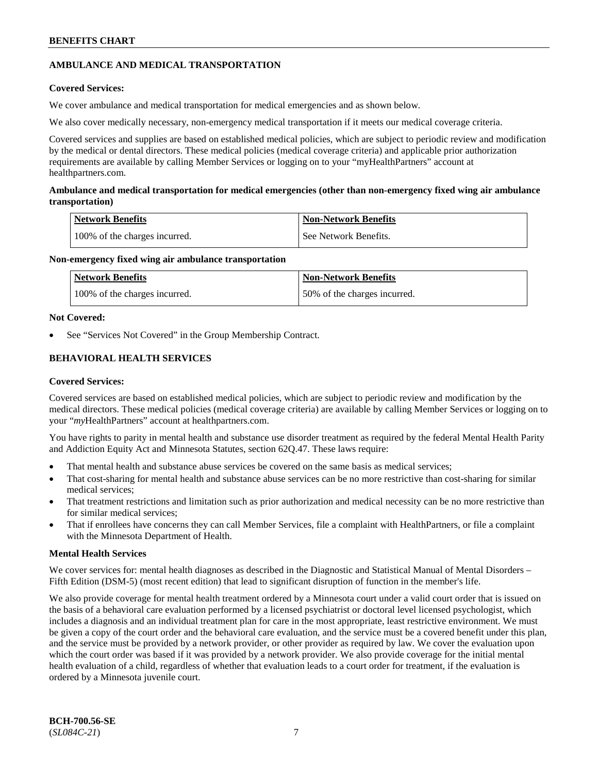## **AMBULANCE AND MEDICAL TRANSPORTATION**

## **Covered Services:**

We cover ambulance and medical transportation for medical emergencies and as shown below.

We also cover medically necessary, non-emergency medical transportation if it meets our medical coverage criteria.

Covered services and supplies are based on established medical policies, which are subject to periodic review and modification by the medical or dental directors. These medical policies (medical coverage criteria) and applicable prior authorization requirements are available by calling Member Services or logging on to your "myHealthPartners" account at [healthpartners.com.](https://www.healthpartners.com/hp/index.html)

## **Ambulance and medical transportation for medical emergencies (other than non-emergency fixed wing air ambulance transportation)**

| Network Benefits              | <b>Non-Network Benefits</b> |
|-------------------------------|-----------------------------|
| 100% of the charges incurred. | See Network Benefits.       |

## **Non-emergency fixed wing air ambulance transportation**

| Network Benefits              | <b>Non-Network Benefits</b>  |
|-------------------------------|------------------------------|
| 100% of the charges incurred. | 50% of the charges incurred. |

## **Not Covered:**

See "Services Not Covered" in the Group Membership Contract.

## **BEHAVIORAL HEALTH SERVICES**

## **Covered Services:**

Covered services are based on established medical policies, which are subject to periodic review and modification by the medical directors. These medical policies (medical coverage criteria) are available by calling Member Services or logging on to your "*my*HealthPartners" account at [healthpartners.com.](http://www.healthpartners.com/)

You have rights to parity in mental health and substance use disorder treatment as required by the federal Mental Health Parity and Addiction Equity Act and Minnesota Statutes, section 62Q.47. These laws require:

- That mental health and substance abuse services be covered on the same basis as medical services;
- That cost-sharing for mental health and substance abuse services can be no more restrictive than cost-sharing for similar medical services;
- That treatment restrictions and limitation such as prior authorization and medical necessity can be no more restrictive than for similar medical services;
- That if enrollees have concerns they can call Member Services, file a complaint with HealthPartners, or file a complaint with the Minnesota Department of Health.

## **Mental Health Services**

We cover services for: mental health diagnoses as described in the Diagnostic and Statistical Manual of Mental Disorders – Fifth Edition (DSM-5) (most recent edition) that lead to significant disruption of function in the member's life.

We also provide coverage for mental health treatment ordered by a Minnesota court under a valid court order that is issued on the basis of a behavioral care evaluation performed by a licensed psychiatrist or doctoral level licensed psychologist, which includes a diagnosis and an individual treatment plan for care in the most appropriate, least restrictive environment. We must be given a copy of the court order and the behavioral care evaluation, and the service must be a covered benefit under this plan, and the service must be provided by a network provider, or other provider as required by law. We cover the evaluation upon which the court order was based if it was provided by a network provider. We also provide coverage for the initial mental health evaluation of a child, regardless of whether that evaluation leads to a court order for treatment, if the evaluation is ordered by a Minnesota juvenile court.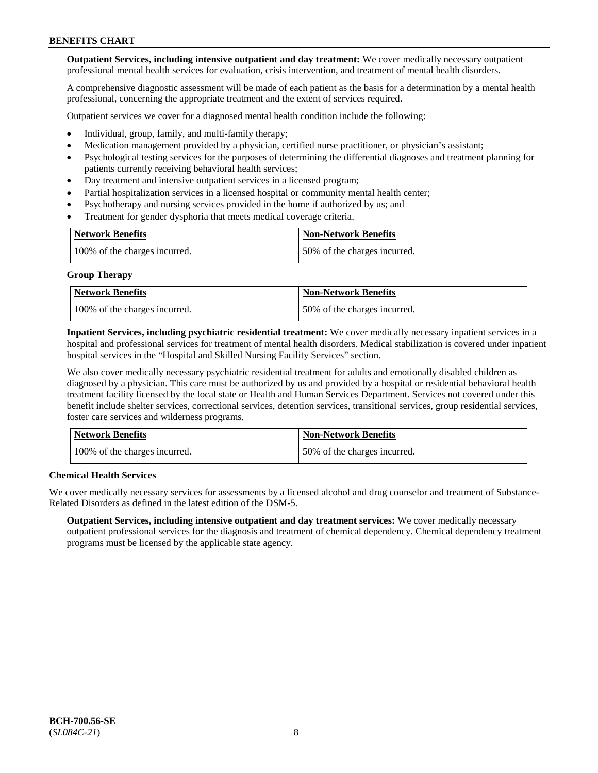**Outpatient Services, including intensive outpatient and day treatment:** We cover medically necessary outpatient professional mental health services for evaluation, crisis intervention, and treatment of mental health disorders.

A comprehensive diagnostic assessment will be made of each patient as the basis for a determination by a mental health professional, concerning the appropriate treatment and the extent of services required.

Outpatient services we cover for a diagnosed mental health condition include the following:

- Individual, group, family, and multi-family therapy;
- Medication management provided by a physician, certified nurse practitioner, or physician's assistant;
- Psychological testing services for the purposes of determining the differential diagnoses and treatment planning for patients currently receiving behavioral health services;
- Day treatment and intensive outpatient services in a licensed program;
- Partial hospitalization services in a licensed hospital or community mental health center;
- Psychotherapy and nursing services provided in the home if authorized by us; and
- Treatment for gender dysphoria that meets medical coverage criteria.

| <b>Network Benefits</b>       | <b>Non-Network Benefits</b>  |
|-------------------------------|------------------------------|
| 100% of the charges incurred. | 50% of the charges incurred. |

#### **Group Therapy**

| Network Benefits              | <b>Non-Network Benefits</b>  |
|-------------------------------|------------------------------|
| 100% of the charges incurred. | 50% of the charges incurred. |

**Inpatient Services, including psychiatric residential treatment:** We cover medically necessary inpatient services in a hospital and professional services for treatment of mental health disorders. Medical stabilization is covered under inpatient hospital services in the "Hospital and Skilled Nursing Facility Services" section.

We also cover medically necessary psychiatric residential treatment for adults and emotionally disabled children as diagnosed by a physician. This care must be authorized by us and provided by a hospital or residential behavioral health treatment facility licensed by the local state or Health and Human Services Department. Services not covered under this benefit include shelter services, correctional services, detention services, transitional services, group residential services, foster care services and wilderness programs.

| Network Benefits              | <b>Non-Network Benefits</b>  |
|-------------------------------|------------------------------|
| 100% of the charges incurred. | 50% of the charges incurred. |

## **Chemical Health Services**

We cover medically necessary services for assessments by a licensed alcohol and drug counselor and treatment of Substance-Related Disorders as defined in the latest edition of the DSM-5.

**Outpatient Services, including intensive outpatient and day treatment services:** We cover medically necessary outpatient professional services for the diagnosis and treatment of chemical dependency. Chemical dependency treatment programs must be licensed by the applicable state agency.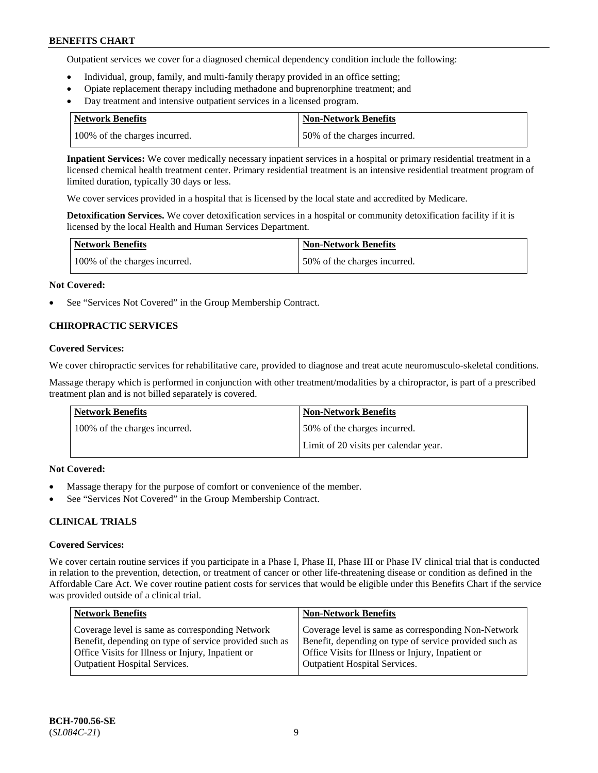Outpatient services we cover for a diagnosed chemical dependency condition include the following:

- Individual, group, family, and multi-family therapy provided in an office setting;
- Opiate replacement therapy including methadone and buprenorphine treatment; and
- Day treatment and intensive outpatient services in a licensed program.

| Network Benefits              | <b>Non-Network Benefits</b>  |
|-------------------------------|------------------------------|
| 100% of the charges incurred. | 50% of the charges incurred. |

**Inpatient Services:** We cover medically necessary inpatient services in a hospital or primary residential treatment in a licensed chemical health treatment center. Primary residential treatment is an intensive residential treatment program of limited duration, typically 30 days or less.

We cover services provided in a hospital that is licensed by the local state and accredited by Medicare.

**Detoxification Services.** We cover detoxification services in a hospital or community detoxification facility if it is licensed by the local Health and Human Services Department.

| <b>Network Benefits</b>       | <b>Non-Network Benefits</b>  |
|-------------------------------|------------------------------|
| 100% of the charges incurred. | 50% of the charges incurred. |

#### **Not Covered:**

See "Services Not Covered" in the Group Membership Contract.

## **CHIROPRACTIC SERVICES**

#### **Covered Services:**

We cover chiropractic services for rehabilitative care, provided to diagnose and treat acute neuromusculo-skeletal conditions.

Massage therapy which is performed in conjunction with other treatment/modalities by a chiropractor, is part of a prescribed treatment plan and is not billed separately is covered.

| Network Benefits              | <b>Non-Network Benefits</b>           |
|-------------------------------|---------------------------------------|
| 100% of the charges incurred. | 50% of the charges incurred.          |
|                               | Limit of 20 visits per calendar year. |

## **Not Covered:**

- Massage therapy for the purpose of comfort or convenience of the member.
- See "Services Not Covered" in the Group Membership Contract.

## **CLINICAL TRIALS**

## **Covered Services:**

We cover certain routine services if you participate in a Phase I, Phase II, Phase III or Phase IV clinical trial that is conducted in relation to the prevention, detection, or treatment of cancer or other life-threatening disease or condition as defined in the Affordable Care Act. We cover routine patient costs for services that would be eligible under this Benefits Chart if the service was provided outside of a clinical trial.

| <b>Network Benefits</b>                                                                                                                                                                                | <b>Non-Network Benefits</b>                                                                                                                                                                                |
|--------------------------------------------------------------------------------------------------------------------------------------------------------------------------------------------------------|------------------------------------------------------------------------------------------------------------------------------------------------------------------------------------------------------------|
| Coverage level is same as corresponding Network<br>Benefit, depending on type of service provided such as<br>Office Visits for Illness or Injury, Inpatient or<br><b>Outpatient Hospital Services.</b> | Coverage level is same as corresponding Non-Network<br>Benefit, depending on type of service provided such as<br>Office Visits for Illness or Injury, Inpatient or<br><b>Outpatient Hospital Services.</b> |
|                                                                                                                                                                                                        |                                                                                                                                                                                                            |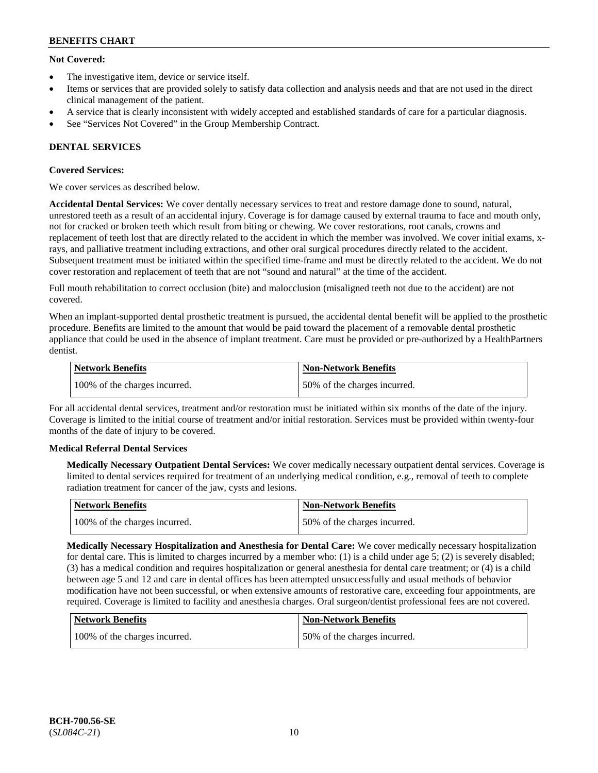## **Not Covered:**

- The investigative item, device or service itself.
- Items or services that are provided solely to satisfy data collection and analysis needs and that are not used in the direct clinical management of the patient.
- A service that is clearly inconsistent with widely accepted and established standards of care for a particular diagnosis.
- See "Services Not Covered" in the Group Membership Contract.

## **DENTAL SERVICES**

## **Covered Services:**

We cover services as described below.

**Accidental Dental Services:** We cover dentally necessary services to treat and restore damage done to sound, natural, unrestored teeth as a result of an accidental injury. Coverage is for damage caused by external trauma to face and mouth only, not for cracked or broken teeth which result from biting or chewing. We cover restorations, root canals, crowns and replacement of teeth lost that are directly related to the accident in which the member was involved. We cover initial exams, xrays, and palliative treatment including extractions, and other oral surgical procedures directly related to the accident. Subsequent treatment must be initiated within the specified time-frame and must be directly related to the accident. We do not cover restoration and replacement of teeth that are not "sound and natural" at the time of the accident.

Full mouth rehabilitation to correct occlusion (bite) and malocclusion (misaligned teeth not due to the accident) are not covered.

When an implant-supported dental prosthetic treatment is pursued, the accidental dental benefit will be applied to the prosthetic procedure. Benefits are limited to the amount that would be paid toward the placement of a removable dental prosthetic appliance that could be used in the absence of implant treatment. Care must be provided or pre-authorized by a HealthPartners dentist.

| Network Benefits              | <b>Non-Network Benefits</b>  |
|-------------------------------|------------------------------|
| 100% of the charges incurred. | 50% of the charges incurred. |

For all accidental dental services, treatment and/or restoration must be initiated within six months of the date of the injury. Coverage is limited to the initial course of treatment and/or initial restoration. Services must be provided within twenty-four months of the date of injury to be covered.

## **Medical Referral Dental Services**

**Medically Necessary Outpatient Dental Services:** We cover medically necessary outpatient dental services. Coverage is limited to dental services required for treatment of an underlying medical condition, e.g., removal of teeth to complete radiation treatment for cancer of the jaw, cysts and lesions.

| Network Benefits              | Non-Network Benefits         |
|-------------------------------|------------------------------|
| 100% of the charges incurred. | 50% of the charges incurred. |

**Medically Necessary Hospitalization and Anesthesia for Dental Care:** We cover medically necessary hospitalization for dental care. This is limited to charges incurred by a member who: (1) is a child under age  $5$ ; (2) is severely disabled; (3) has a medical condition and requires hospitalization or general anesthesia for dental care treatment; or (4) is a child between age 5 and 12 and care in dental offices has been attempted unsuccessfully and usual methods of behavior modification have not been successful, or when extensive amounts of restorative care, exceeding four appointments, are required. Coverage is limited to facility and anesthesia charges. Oral surgeon/dentist professional fees are not covered.

| Network Benefits              | <b>Non-Network Benefits</b>  |
|-------------------------------|------------------------------|
| 100% of the charges incurred. | 50% of the charges incurred. |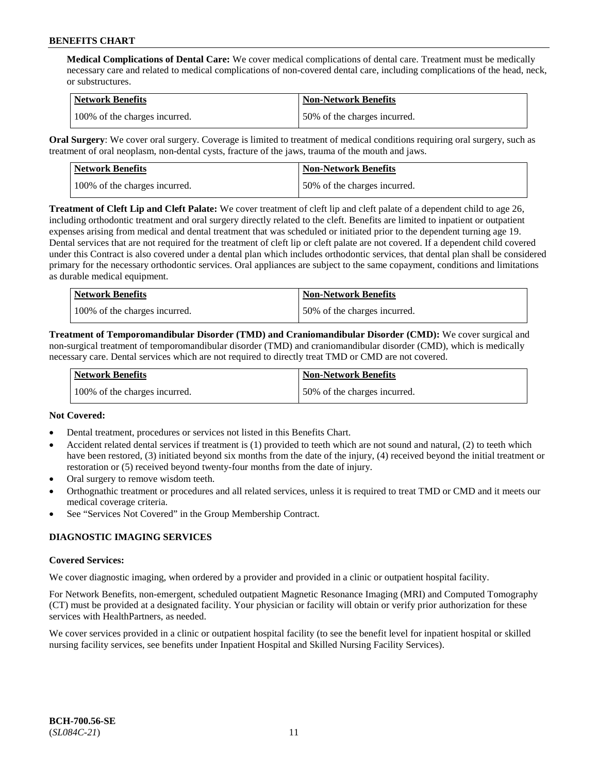**Medical Complications of Dental Care:** We cover medical complications of dental care. Treatment must be medically necessary care and related to medical complications of non-covered dental care, including complications of the head, neck, or substructures.

| Network Benefits              | <b>Non-Network Benefits</b>  |
|-------------------------------|------------------------------|
| 100% of the charges incurred. | 50% of the charges incurred. |

**Oral Surgery**: We cover oral surgery. Coverage is limited to treatment of medical conditions requiring oral surgery, such as treatment of oral neoplasm, non-dental cysts, fracture of the jaws, trauma of the mouth and jaws.

| Network Benefits              | <b>Non-Network Benefits</b>  |
|-------------------------------|------------------------------|
| 100% of the charges incurred. | 50% of the charges incurred. |

**Treatment of Cleft Lip and Cleft Palate:** We cover treatment of cleft lip and cleft palate of a dependent child to age 26, including orthodontic treatment and oral surgery directly related to the cleft. Benefits are limited to inpatient or outpatient expenses arising from medical and dental treatment that was scheduled or initiated prior to the dependent turning age 19. Dental services that are not required for the treatment of cleft lip or cleft palate are not covered. If a dependent child covered under this Contract is also covered under a dental plan which includes orthodontic services, that dental plan shall be considered primary for the necessary orthodontic services. Oral appliances are subject to the same copayment, conditions and limitations as durable medical equipment.

| <b>Network Benefits</b>       | <b>Non-Network Benefits</b>  |
|-------------------------------|------------------------------|
| 100% of the charges incurred. | 50% of the charges incurred. |

**Treatment of Temporomandibular Disorder (TMD) and Craniomandibular Disorder (CMD):** We cover surgical and non-surgical treatment of temporomandibular disorder (TMD) and craniomandibular disorder (CMD), which is medically necessary care. Dental services which are not required to directly treat TMD or CMD are not covered.

| Network Benefits              | <b>Non-Network Benefits</b>  |
|-------------------------------|------------------------------|
| 100% of the charges incurred. | 50% of the charges incurred. |

## **Not Covered:**

- Dental treatment, procedures or services not listed in this Benefits Chart.
- Accident related dental services if treatment is (1) provided to teeth which are not sound and natural, (2) to teeth which have been restored, (3) initiated beyond six months from the date of the injury, (4) received beyond the initial treatment or restoration or (5) received beyond twenty-four months from the date of injury.
- Oral surgery to remove wisdom teeth.
- Orthognathic treatment or procedures and all related services, unless it is required to treat TMD or CMD and it meets our medical coverage criteria.
- See "Services Not Covered" in the Group Membership Contract.

## **DIAGNOSTIC IMAGING SERVICES**

#### **Covered Services:**

We cover diagnostic imaging, when ordered by a provider and provided in a clinic or outpatient hospital facility.

For Network Benefits, non-emergent, scheduled outpatient Magnetic Resonance Imaging (MRI) and Computed Tomography (CT) must be provided at a designated facility. Your physician or facility will obtain or verify prior authorization for these services with HealthPartners, as needed.

We cover services provided in a clinic or outpatient hospital facility (to see the benefit level for inpatient hospital or skilled nursing facility services, see benefits under Inpatient Hospital and Skilled Nursing Facility Services).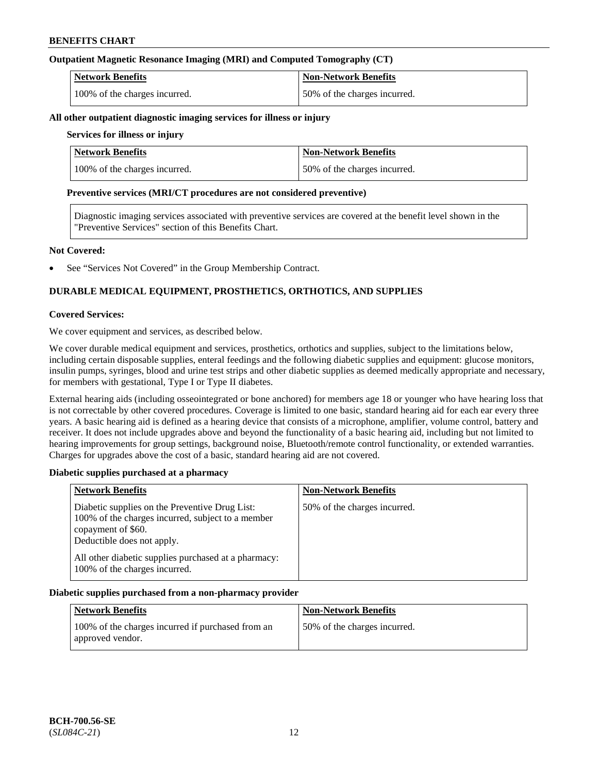## **Outpatient Magnetic Resonance Imaging (MRI) and Computed Tomography (CT)**

| <b>Network Benefits</b>       | <b>Non-Network Benefits</b>  |
|-------------------------------|------------------------------|
| 100% of the charges incurred. | 50% of the charges incurred. |

#### **All other outpatient diagnostic imaging services for illness or injury**

## **Services for illness or injury**

| <b>Network Benefits</b>       | <b>Non-Network Benefits</b>  |
|-------------------------------|------------------------------|
| 100% of the charges incurred. | 50% of the charges incurred. |

#### **Preventive services (MRI/CT procedures are not considered preventive)**

Diagnostic imaging services associated with preventive services are covered at the benefit level shown in the "Preventive Services" section of this Benefits Chart.

#### **Not Covered:**

See "Services Not Covered" in the Group Membership Contract.

## **DURABLE MEDICAL EQUIPMENT, PROSTHETICS, ORTHOTICS, AND SUPPLIES**

#### **Covered Services:**

We cover equipment and services, as described below.

We cover durable medical equipment and services, prosthetics, orthotics and supplies, subject to the limitations below, including certain disposable supplies, enteral feedings and the following diabetic supplies and equipment: glucose monitors, insulin pumps, syringes, blood and urine test strips and other diabetic supplies as deemed medically appropriate and necessary, for members with gestational, Type I or Type II diabetes.

External hearing aids (including osseointegrated or bone anchored) for members age 18 or younger who have hearing loss that is not correctable by other covered procedures. Coverage is limited to one basic, standard hearing aid for each ear every three years. A basic hearing aid is defined as a hearing device that consists of a microphone, amplifier, volume control, battery and receiver. It does not include upgrades above and beyond the functionality of a basic hearing aid, including but not limited to hearing improvements for group settings, background noise, Bluetooth/remote control functionality, or extended warranties. Charges for upgrades above the cost of a basic, standard hearing aid are not covered.

## **Diabetic supplies purchased at a pharmacy**

| <b>Network Benefits</b>                                                                                                                                 | <b>Non-Network Benefits</b>  |
|---------------------------------------------------------------------------------------------------------------------------------------------------------|------------------------------|
| Diabetic supplies on the Preventive Drug List:<br>100% of the charges incurred, subject to a member<br>copayment of \$60.<br>Deductible does not apply. | 50% of the charges incurred. |
| All other diabetic supplies purchased at a pharmacy:<br>100% of the charges incurred.                                                                   |                              |

## **Diabetic supplies purchased from a non-pharmacy provider**

| <b>Network Benefits</b>                                               | <b>Non-Network Benefits</b>  |
|-----------------------------------------------------------------------|------------------------------|
| 100% of the charges incurred if purchased from an<br>approved vendor. | 50% of the charges incurred. |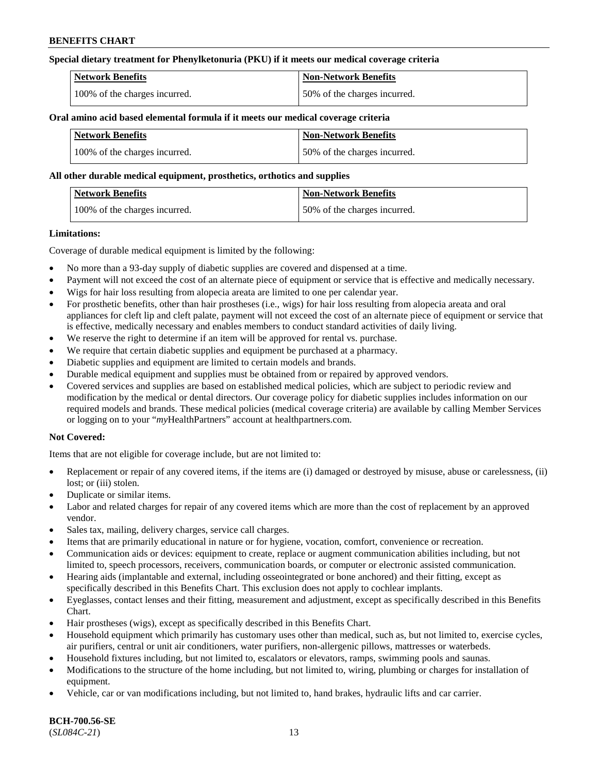## **Special dietary treatment for Phenylketonuria (PKU) if it meets our medical coverage criteria**

| <b>Network Benefits</b>       | <b>Non-Network Benefits</b>  |
|-------------------------------|------------------------------|
| 100% of the charges incurred. | 50% of the charges incurred. |

#### **Oral amino acid based elemental formula if it meets our medical coverage criteria**

| <b>Network Benefits</b>       | Non-Network Benefits         |
|-------------------------------|------------------------------|
| 100% of the charges incurred. | 50% of the charges incurred. |

#### **All other durable medical equipment, prosthetics, orthotics and supplies**

| Network Benefits              | <b>Non-Network Benefits</b>  |
|-------------------------------|------------------------------|
| 100% of the charges incurred. | 50% of the charges incurred. |

#### **Limitations:**

Coverage of durable medical equipment is limited by the following:

- No more than a 93-day supply of diabetic supplies are covered and dispensed at a time.
- Payment will not exceed the cost of an alternate piece of equipment or service that is effective and medically necessary.
- Wigs for hair loss resulting from alopecia areata are limited to one per calendar year.
- For prosthetic benefits, other than hair prostheses (i.e., wigs) for hair loss resulting from alopecia areata and oral appliances for cleft lip and cleft palate, payment will not exceed the cost of an alternate piece of equipment or service that is effective, medically necessary and enables members to conduct standard activities of daily living.
- We reserve the right to determine if an item will be approved for rental vs. purchase.
- We require that certain diabetic supplies and equipment be purchased at a pharmacy.
- Diabetic supplies and equipment are limited to certain models and brands.
- Durable medical equipment and supplies must be obtained from or repaired by approved vendors.
- Covered services and supplies are based on established medical policies, which are subject to periodic review and modification by the medical or dental directors. Our coverage policy for diabetic supplies includes information on our required models and brands. These medical policies (medical coverage criteria) are available by calling Member Services or logging on to your "*my*HealthPartners" account a[t healthpartners.com.](https://www.healthpartners.com/hp/index.html)

## **Not Covered:**

Items that are not eligible for coverage include, but are not limited to:

- Replacement or repair of any covered items, if the items are (i) damaged or destroyed by misuse, abuse or carelessness, (ii) lost; or (iii) stolen.
- Duplicate or similar items.
- Labor and related charges for repair of any covered items which are more than the cost of replacement by an approved vendor.
- Sales tax, mailing, delivery charges, service call charges.
- Items that are primarily educational in nature or for hygiene, vocation, comfort, convenience or recreation.
- Communication aids or devices: equipment to create, replace or augment communication abilities including, but not limited to, speech processors, receivers, communication boards, or computer or electronic assisted communication.
- Hearing aids (implantable and external, including osseointegrated or bone anchored) and their fitting, except as specifically described in this Benefits Chart. This exclusion does not apply to cochlear implants.
- Eyeglasses, contact lenses and their fitting, measurement and adjustment, except as specifically described in this Benefits Chart.
- Hair prostheses (wigs), except as specifically described in this Benefits Chart.
- Household equipment which primarily has customary uses other than medical, such as, but not limited to, exercise cycles, air purifiers, central or unit air conditioners, water purifiers, non-allergenic pillows, mattresses or waterbeds.
- Household fixtures including, but not limited to, escalators or elevators, ramps, swimming pools and saunas.
- Modifications to the structure of the home including, but not limited to, wiring, plumbing or charges for installation of equipment.
- Vehicle, car or van modifications including, but not limited to, hand brakes, hydraulic lifts and car carrier.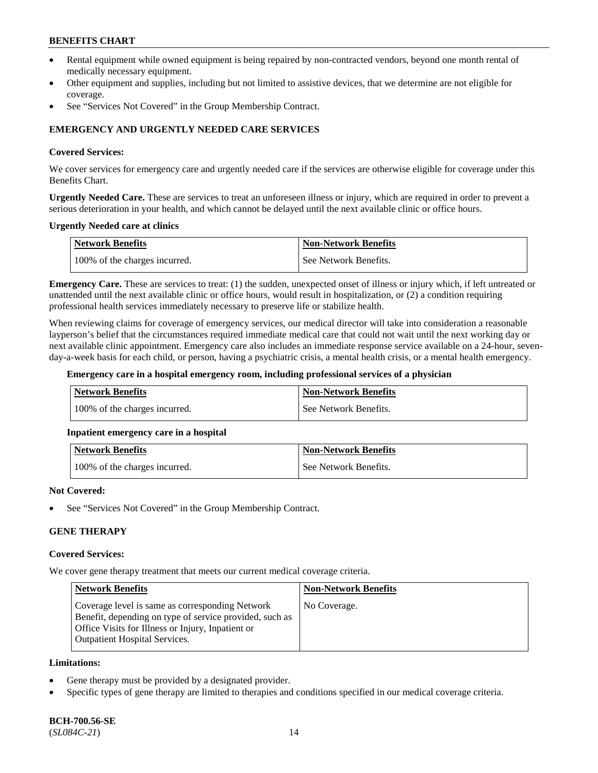- Rental equipment while owned equipment is being repaired by non-contracted vendors, beyond one month rental of medically necessary equipment.
- Other equipment and supplies, including but not limited to assistive devices, that we determine are not eligible for coverage.
- See "Services Not Covered" in the Group Membership Contract.

## **EMERGENCY AND URGENTLY NEEDED CARE SERVICES**

#### **Covered Services:**

We cover services for emergency care and urgently needed care if the services are otherwise eligible for coverage under this Benefits Chart.

**Urgently Needed Care.** These are services to treat an unforeseen illness or injury, which are required in order to prevent a serious deterioration in your health, and which cannot be delayed until the next available clinic or office hours.

#### **Urgently Needed care at clinics**

| <b>Network Benefits</b>       | <b>Non-Network Benefits</b> |
|-------------------------------|-----------------------------|
| 100% of the charges incurred. | See Network Benefits.       |

**Emergency Care.** These are services to treat: (1) the sudden, unexpected onset of illness or injury which, if left untreated or unattended until the next available clinic or office hours, would result in hospitalization, or (2) a condition requiring professional health services immediately necessary to preserve life or stabilize health.

When reviewing claims for coverage of emergency services, our medical director will take into consideration a reasonable layperson's belief that the circumstances required immediate medical care that could not wait until the next working day or next available clinic appointment. Emergency care also includes an immediate response service available on a 24-hour, sevenday-a-week basis for each child, or person, having a psychiatric crisis, a mental health crisis, or a mental health emergency.

#### **Emergency care in a hospital emergency room, including professional services of a physician**

| Network Benefits              | <b>Non-Network Benefits</b> |
|-------------------------------|-----------------------------|
| 100% of the charges incurred. | See Network Benefits.       |

## **Inpatient emergency care in a hospital**

| Network Benefits              | <b>Non-Network Benefits</b> |
|-------------------------------|-----------------------------|
| 100% of the charges incurred. | See Network Benefits.       |

## **Not Covered:**

See "Services Not Covered" in the Group Membership Contract.

## **GENE THERAPY**

## **Covered Services:**

We cover gene therapy treatment that meets our current medical coverage criteria.

| <b>Network Benefits</b>                                                                                                                                                                                 | <b>Non-Network Benefits</b> |
|---------------------------------------------------------------------------------------------------------------------------------------------------------------------------------------------------------|-----------------------------|
| Coverage level is same as corresponding Network<br>Benefit, depending on type of service provided, such as<br>Office Visits for Illness or Injury, Inpatient or<br><b>Outpatient Hospital Services.</b> | No Coverage.                |

#### **Limitations:**

- Gene therapy must be provided by a designated provider.
- Specific types of gene therapy are limited to therapies and conditions specified in our medical coverage criteria.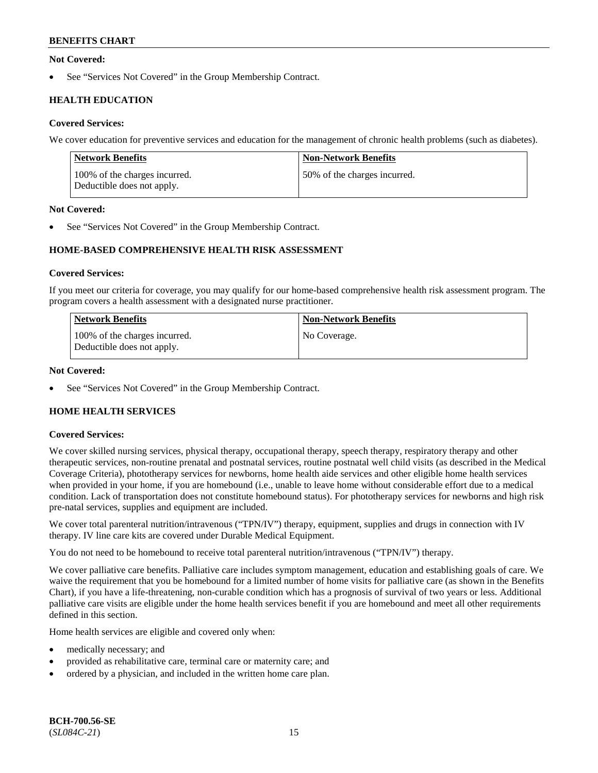## **Not Covered:**

See "Services Not Covered" in the Group Membership Contract.

## **HEALTH EDUCATION**

## **Covered Services:**

We cover education for preventive services and education for the management of chronic health problems (such as diabetes).

| Network Benefits                                            | <b>Non-Network Benefits</b>  |
|-------------------------------------------------------------|------------------------------|
| 100% of the charges incurred.<br>Deductible does not apply. | 50% of the charges incurred. |

## **Not Covered:**

See "Services Not Covered" in the Group Membership Contract.

## **HOME-BASED COMPREHENSIVE HEALTH RISK ASSESSMENT**

#### **Covered Services:**

If you meet our criteria for coverage, you may qualify for our home-based comprehensive health risk assessment program. The program covers a health assessment with a designated nurse practitioner.

| <b>Network Benefits</b>                                     | <b>Non-Network Benefits</b> |
|-------------------------------------------------------------|-----------------------------|
| 100% of the charges incurred.<br>Deductible does not apply. | No Coverage.                |

## **Not Covered:**

See "Services Not Covered" in the Group Membership Contract.

## **HOME HEALTH SERVICES**

## **Covered Services:**

We cover skilled nursing services, physical therapy, occupational therapy, speech therapy, respiratory therapy and other therapeutic services, non-routine prenatal and postnatal services, routine postnatal well child visits (as described in the Medical Coverage Criteria), phototherapy services for newborns, home health aide services and other eligible home health services when provided in your home, if you are homebound (i.e., unable to leave home without considerable effort due to a medical condition. Lack of transportation does not constitute homebound status). For phototherapy services for newborns and high risk pre-natal services, supplies and equipment are included.

We cover total parenteral nutrition/intravenous ("TPN/IV") therapy, equipment, supplies and drugs in connection with IV therapy. IV line care kits are covered under Durable Medical Equipment.

You do not need to be homebound to receive total parenteral nutrition/intravenous ("TPN/IV") therapy.

We cover palliative care benefits. Palliative care includes symptom management, education and establishing goals of care. We waive the requirement that you be homebound for a limited number of home visits for palliative care (as shown in the Benefits Chart), if you have a life-threatening, non-curable condition which has a prognosis of survival of two years or less. Additional palliative care visits are eligible under the home health services benefit if you are homebound and meet all other requirements defined in this section.

Home health services are eligible and covered only when:

- medically necessary; and
- provided as rehabilitative care, terminal care or maternity care; and
- ordered by a physician, and included in the written home care plan.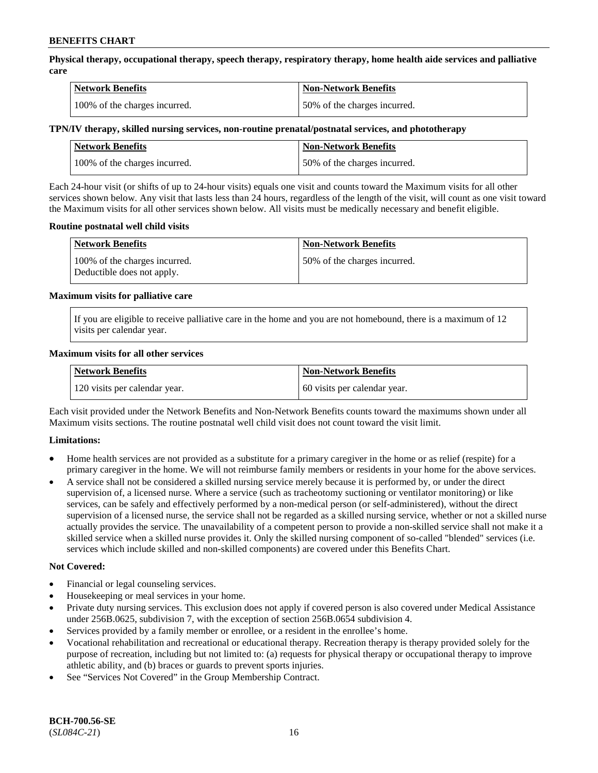**Physical therapy, occupational therapy, speech therapy, respiratory therapy, home health aide services and palliative care**

| <b>Network Benefits</b>       | <b>Non-Network Benefits</b>  |
|-------------------------------|------------------------------|
| 100% of the charges incurred. | 50% of the charges incurred. |

## **TPN/IV therapy, skilled nursing services, non-routine prenatal/postnatal services, and phototherapy**

| <b>Network Benefits</b>       | <b>Non-Network Benefits</b>  |
|-------------------------------|------------------------------|
| 100% of the charges incurred. | 50% of the charges incurred. |

Each 24-hour visit (or shifts of up to 24-hour visits) equals one visit and counts toward the Maximum visits for all other services shown below. Any visit that lasts less than 24 hours, regardless of the length of the visit, will count as one visit toward the Maximum visits for all other services shown below. All visits must be medically necessary and benefit eligible.

#### **Routine postnatal well child visits**

| <b>Network Benefits</b>                                     | <b>Non-Network Benefits</b>  |
|-------------------------------------------------------------|------------------------------|
| 100% of the charges incurred.<br>Deductible does not apply. | 50% of the charges incurred. |

#### **Maximum visits for palliative care**

If you are eligible to receive palliative care in the home and you are not homebound, there is a maximum of 12 visits per calendar year.

#### **Maximum visits for all other services**

| <b>Network Benefits</b>       | <b>Non-Network Benefits</b>  |
|-------------------------------|------------------------------|
| 120 visits per calendar year. | 60 visits per calendar year. |

Each visit provided under the Network Benefits and Non-Network Benefits counts toward the maximums shown under all Maximum visits sections. The routine postnatal well child visit does not count toward the visit limit.

## **Limitations:**

- Home health services are not provided as a substitute for a primary caregiver in the home or as relief (respite) for a primary caregiver in the home. We will not reimburse family members or residents in your home for the above services.
- A service shall not be considered a skilled nursing service merely because it is performed by, or under the direct supervision of, a licensed nurse. Where a service (such as tracheotomy suctioning or ventilator monitoring) or like services, can be safely and effectively performed by a non-medical person (or self-administered), without the direct supervision of a licensed nurse, the service shall not be regarded as a skilled nursing service, whether or not a skilled nurse actually provides the service. The unavailability of a competent person to provide a non-skilled service shall not make it a skilled service when a skilled nurse provides it. Only the skilled nursing component of so-called "blended" services (i.e. services which include skilled and non-skilled components) are covered under this Benefits Chart.

## **Not Covered:**

- Financial or legal counseling services.
- Housekeeping or meal services in your home.
- Private duty nursing services. This exclusion does not apply if covered person is also covered under Medical Assistance under 256B.0625, subdivision 7, with the exception of section 256B.0654 subdivision 4.
- Services provided by a family member or enrollee, or a resident in the enrollee's home.
- Vocational rehabilitation and recreational or educational therapy. Recreation therapy is therapy provided solely for the purpose of recreation, including but not limited to: (a) requests for physical therapy or occupational therapy to improve athletic ability, and (b) braces or guards to prevent sports injuries.
- See "Services Not Covered" in the Group Membership Contract.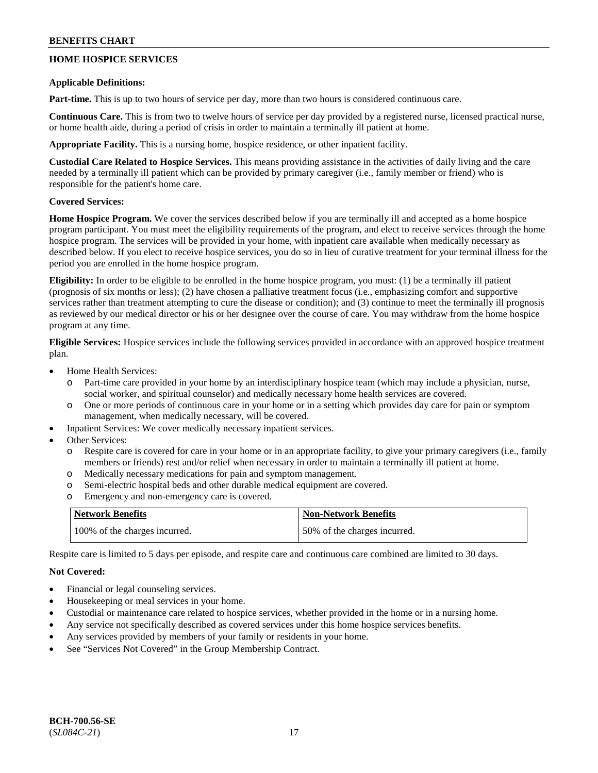## **HOME HOSPICE SERVICES**

#### **Applicable Definitions:**

**Part-time.** This is up to two hours of service per day, more than two hours is considered continuous care.

**Continuous Care.** This is from two to twelve hours of service per day provided by a registered nurse, licensed practical nurse, or home health aide, during a period of crisis in order to maintain a terminally ill patient at home.

**Appropriate Facility.** This is a nursing home, hospice residence, or other inpatient facility.

**Custodial Care Related to Hospice Services.** This means providing assistance in the activities of daily living and the care needed by a terminally ill patient which can be provided by primary caregiver (i.e., family member or friend) who is responsible for the patient's home care.

## **Covered Services:**

**Home Hospice Program.** We cover the services described below if you are terminally ill and accepted as a home hospice program participant. You must meet the eligibility requirements of the program, and elect to receive services through the home hospice program. The services will be provided in your home, with inpatient care available when medically necessary as described below. If you elect to receive hospice services, you do so in lieu of curative treatment for your terminal illness for the period you are enrolled in the home hospice program.

**Eligibility:** In order to be eligible to be enrolled in the home hospice program, you must: (1) be a terminally ill patient (prognosis of six months or less); (2) have chosen a palliative treatment focus (i.e., emphasizing comfort and supportive services rather than treatment attempting to cure the disease or condition); and (3) continue to meet the terminally ill prognosis as reviewed by our medical director or his or her designee over the course of care. You may withdraw from the home hospice program at any time.

**Eligible Services:** Hospice services include the following services provided in accordance with an approved hospice treatment plan.

- Home Health Services:
	- o Part-time care provided in your home by an interdisciplinary hospice team (which may include a physician, nurse, social worker, and spiritual counselor) and medically necessary home health services are covered.
	- o One or more periods of continuous care in your home or in a setting which provides day care for pain or symptom management, when medically necessary, will be covered.
- Inpatient Services: We cover medically necessary inpatient services.
- Other Services:
	- o Respite care is covered for care in your home or in an appropriate facility, to give your primary caregivers (i.e., family members or friends) rest and/or relief when necessary in order to maintain a terminally ill patient at home.
	- o Medically necessary medications for pain and symptom management.
	- o Semi-electric hospital beds and other durable medical equipment are covered.
	- o Emergency and non-emergency care is covered.

| <b>Network Benefits</b>       | <b>Non-Network Benefits</b>  |
|-------------------------------|------------------------------|
| 100% of the charges incurred. | 50% of the charges incurred. |

Respite care is limited to 5 days per episode, and respite care and continuous care combined are limited to 30 days.

## **Not Covered:**

- Financial or legal counseling services.
- Housekeeping or meal services in your home.
- Custodial or maintenance care related to hospice services, whether provided in the home or in a nursing home.
- Any service not specifically described as covered services under this home hospice services benefits.
- Any services provided by members of your family or residents in your home.
- See "Services Not Covered" in the Group Membership Contract.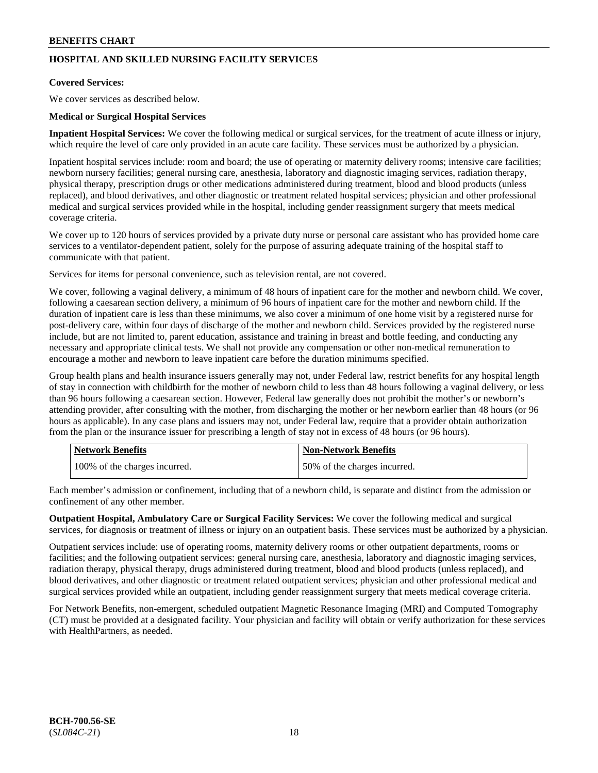## **HOSPITAL AND SKILLED NURSING FACILITY SERVICES**

## **Covered Services:**

We cover services as described below.

#### **Medical or Surgical Hospital Services**

**Inpatient Hospital Services:** We cover the following medical or surgical services, for the treatment of acute illness or injury, which require the level of care only provided in an acute care facility. These services must be authorized by a physician.

Inpatient hospital services include: room and board; the use of operating or maternity delivery rooms; intensive care facilities; newborn nursery facilities; general nursing care, anesthesia, laboratory and diagnostic imaging services, radiation therapy, physical therapy, prescription drugs or other medications administered during treatment, blood and blood products (unless replaced), and blood derivatives, and other diagnostic or treatment related hospital services; physician and other professional medical and surgical services provided while in the hospital, including gender reassignment surgery that meets medical coverage criteria.

We cover up to 120 hours of services provided by a private duty nurse or personal care assistant who has provided home care services to a ventilator-dependent patient, solely for the purpose of assuring adequate training of the hospital staff to communicate with that patient.

Services for items for personal convenience, such as television rental, are not covered.

We cover, following a vaginal delivery, a minimum of 48 hours of inpatient care for the mother and newborn child. We cover, following a caesarean section delivery, a minimum of 96 hours of inpatient care for the mother and newborn child. If the duration of inpatient care is less than these minimums, we also cover a minimum of one home visit by a registered nurse for post-delivery care, within four days of discharge of the mother and newborn child. Services provided by the registered nurse include, but are not limited to, parent education, assistance and training in breast and bottle feeding, and conducting any necessary and appropriate clinical tests. We shall not provide any compensation or other non-medical remuneration to encourage a mother and newborn to leave inpatient care before the duration minimums specified.

Group health plans and health insurance issuers generally may not, under Federal law, restrict benefits for any hospital length of stay in connection with childbirth for the mother of newborn child to less than 48 hours following a vaginal delivery, or less than 96 hours following a caesarean section. However, Federal law generally does not prohibit the mother's or newborn's attending provider, after consulting with the mother, from discharging the mother or her newborn earlier than 48 hours (or 96 hours as applicable). In any case plans and issuers may not, under Federal law, require that a provider obtain authorization from the plan or the insurance issuer for prescribing a length of stay not in excess of 48 hours (or 96 hours).

| <b>Network Benefits</b>       | Non-Network Benefits         |
|-------------------------------|------------------------------|
| 100% of the charges incurred. | 50% of the charges incurred. |

Each member's admission or confinement, including that of a newborn child, is separate and distinct from the admission or confinement of any other member.

**Outpatient Hospital, Ambulatory Care or Surgical Facility Services:** We cover the following medical and surgical services, for diagnosis or treatment of illness or injury on an outpatient basis. These services must be authorized by a physician.

Outpatient services include: use of operating rooms, maternity delivery rooms or other outpatient departments, rooms or facilities; and the following outpatient services: general nursing care, anesthesia, laboratory and diagnostic imaging services, radiation therapy, physical therapy, drugs administered during treatment, blood and blood products (unless replaced), and blood derivatives, and other diagnostic or treatment related outpatient services; physician and other professional medical and surgical services provided while an outpatient, including gender reassignment surgery that meets medical coverage criteria.

For Network Benefits, non-emergent, scheduled outpatient Magnetic Resonance Imaging (MRI) and Computed Tomography (CT) must be provided at a designated facility. Your physician and facility will obtain or verify authorization for these services with HealthPartners, as needed.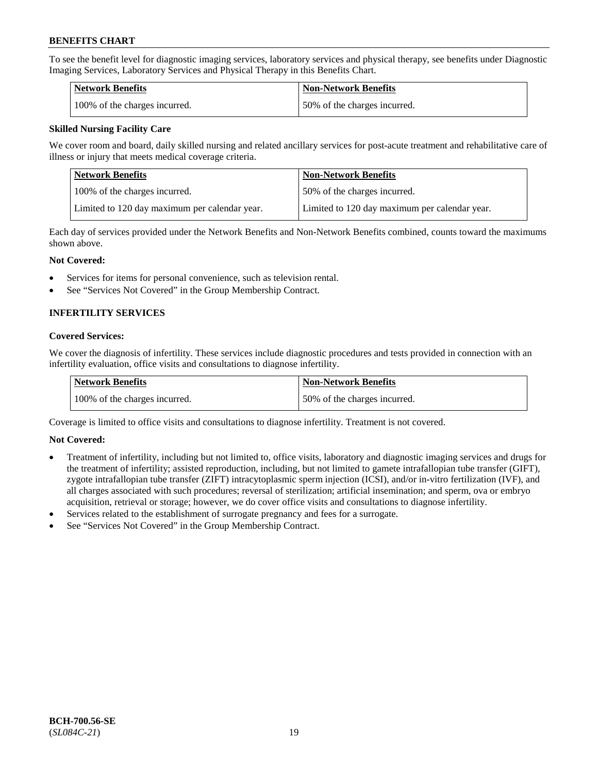To see the benefit level for diagnostic imaging services, laboratory services and physical therapy, see benefits under Diagnostic Imaging Services, Laboratory Services and Physical Therapy in this Benefits Chart.

| <b>Network Benefits</b>       | Non-Network Benefits         |
|-------------------------------|------------------------------|
| 100% of the charges incurred. | 50% of the charges incurred. |

## **Skilled Nursing Facility Care**

We cover room and board, daily skilled nursing and related ancillary services for post-acute treatment and rehabilitative care of illness or injury that meets medical coverage criteria.

| Network Benefits                              | <b>Non-Network Benefits</b>                   |
|-----------------------------------------------|-----------------------------------------------|
| 100\% of the charges incurred.                | 50% of the charges incurred.                  |
| Limited to 120 day maximum per calendar year. | Limited to 120 day maximum per calendar year. |

Each day of services provided under the Network Benefits and Non-Network Benefits combined, counts toward the maximums shown above.

#### **Not Covered:**

- Services for items for personal convenience, such as television rental.
- See "Services Not Covered" in the Group Membership Contract.

## **INFERTILITY SERVICES**

#### **Covered Services:**

We cover the diagnosis of infertility. These services include diagnostic procedures and tests provided in connection with an infertility evaluation, office visits and consultations to diagnose infertility.

| Network Benefits              | <b>Non-Network Benefits</b>  |
|-------------------------------|------------------------------|
| 100% of the charges incurred. | 50% of the charges incurred. |

Coverage is limited to office visits and consultations to diagnose infertility. Treatment is not covered.

## **Not Covered:**

- Treatment of infertility, including but not limited to, office visits, laboratory and diagnostic imaging services and drugs for the treatment of infertility; assisted reproduction, including, but not limited to gamete intrafallopian tube transfer (GIFT), zygote intrafallopian tube transfer (ZIFT) intracytoplasmic sperm injection (ICSI), and/or in-vitro fertilization (IVF), and all charges associated with such procedures; reversal of sterilization; artificial insemination; and sperm, ova or embryo acquisition, retrieval or storage; however, we do cover office visits and consultations to diagnose infertility.
- Services related to the establishment of surrogate pregnancy and fees for a surrogate.
- See "Services Not Covered" in the Group Membership Contract.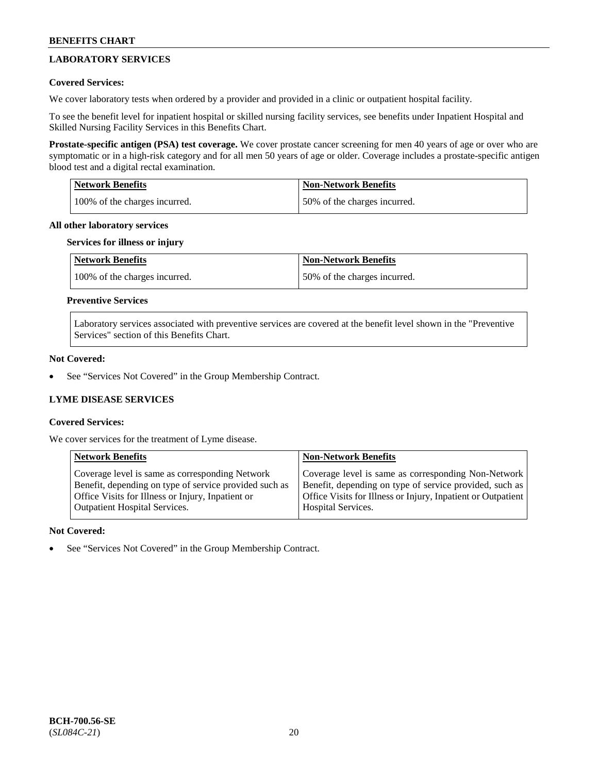## **LABORATORY SERVICES**

## **Covered Services:**

We cover laboratory tests when ordered by a provider and provided in a clinic or outpatient hospital facility.

To see the benefit level for inpatient hospital or skilled nursing facility services, see benefits under Inpatient Hospital and Skilled Nursing Facility Services in this Benefits Chart.

**Prostate-specific antigen (PSA) test coverage.** We cover prostate cancer screening for men 40 years of age or over who are symptomatic or in a high-risk category and for all men 50 years of age or older. Coverage includes a prostate-specific antigen blood test and a digital rectal examination.

| <b>Network Benefits</b>       | <b>Non-Network Benefits</b>  |
|-------------------------------|------------------------------|
| 100% of the charges incurred. | 50% of the charges incurred. |

#### **All other laboratory services**

#### **Services for illness or injury**

| Network Benefits              | <b>Non-Network Benefits</b>  |
|-------------------------------|------------------------------|
| 100% of the charges incurred. | 50% of the charges incurred. |

## **Preventive Services**

Laboratory services associated with preventive services are covered at the benefit level shown in the "Preventive Services" section of this Benefits Chart.

## **Not Covered:**

See "Services Not Covered" in the Group Membership Contract.

## **LYME DISEASE SERVICES**

## **Covered Services:**

We cover services for the treatment of Lyme disease.

| <b>Network Benefits</b>                                | <b>Non-Network Benefits</b>                                  |
|--------------------------------------------------------|--------------------------------------------------------------|
| Coverage level is same as corresponding Network        | Coverage level is same as corresponding Non-Network          |
| Benefit, depending on type of service provided such as | Benefit, depending on type of service provided, such as      |
| Office Visits for Illness or Injury, Inpatient or      | Office Visits for Illness or Injury, Inpatient or Outpatient |
| <b>Outpatient Hospital Services.</b>                   | Hospital Services.                                           |

## **Not Covered:**

See "Services Not Covered" in the Group Membership Contract.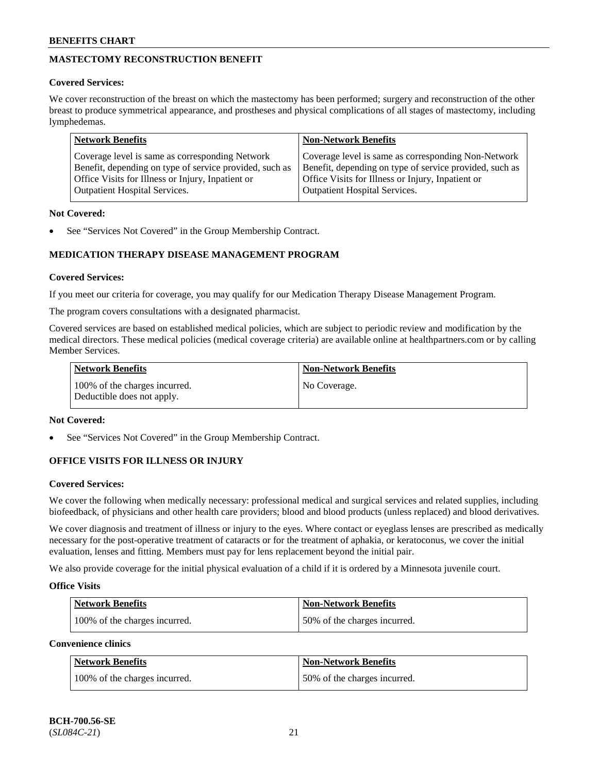## **MASTECTOMY RECONSTRUCTION BENEFIT**

## **Covered Services:**

We cover reconstruction of the breast on which the mastectomy has been performed; surgery and reconstruction of the other breast to produce symmetrical appearance, and prostheses and physical complications of all stages of mastectomy, including lymphedemas.

| <b>Network Benefits</b>                                 | <b>Non-Network Benefits</b>                             |
|---------------------------------------------------------|---------------------------------------------------------|
| Coverage level is same as corresponding Network         | Coverage level is same as corresponding Non-Network     |
| Benefit, depending on type of service provided, such as | Benefit, depending on type of service provided, such as |
| Office Visits for Illness or Injury, Inpatient or       | Office Visits for Illness or Injury, Inpatient or       |
| <b>Outpatient Hospital Services.</b>                    | <b>Outpatient Hospital Services.</b>                    |

## **Not Covered:**

See "Services Not Covered" in the Group Membership Contract.

## **MEDICATION THERAPY DISEASE MANAGEMENT PROGRAM**

## **Covered Services:**

If you meet our criteria for coverage, you may qualify for our Medication Therapy Disease Management Program.

The program covers consultations with a designated pharmacist.

Covered services are based on established medical policies, which are subject to periodic review and modification by the medical directors. These medical policies (medical coverage criteria) are available online at [healthpartners.com](https://www.healthpartners.com/hp/index.html) or by calling Member Services.

| Network Benefits                                            | <b>Non-Network Benefits</b> |
|-------------------------------------------------------------|-----------------------------|
| 100% of the charges incurred.<br>Deductible does not apply. | No Coverage.                |

## **Not Covered:**

See "Services Not Covered" in the Group Membership Contract.

## **OFFICE VISITS FOR ILLNESS OR INJURY**

## **Covered Services:**

We cover the following when medically necessary: professional medical and surgical services and related supplies, including biofeedback, of physicians and other health care providers; blood and blood products (unless replaced) and blood derivatives.

We cover diagnosis and treatment of illness or injury to the eyes. Where contact or eyeglass lenses are prescribed as medically necessary for the post-operative treatment of cataracts or for the treatment of aphakia, or keratoconus, we cover the initial evaluation, lenses and fitting. Members must pay for lens replacement beyond the initial pair.

We also provide coverage for the initial physical evaluation of a child if it is ordered by a Minnesota juvenile court.

## **Office Visits**

| <b>Network Benefits</b>       | <b>Non-Network Benefits</b>  |
|-------------------------------|------------------------------|
| 100% of the charges incurred. | 50% of the charges incurred. |

**Convenience clinics**

| Network Benefits              | <b>Non-Network Benefits</b>  |
|-------------------------------|------------------------------|
| 100% of the charges incurred. | 50% of the charges incurred. |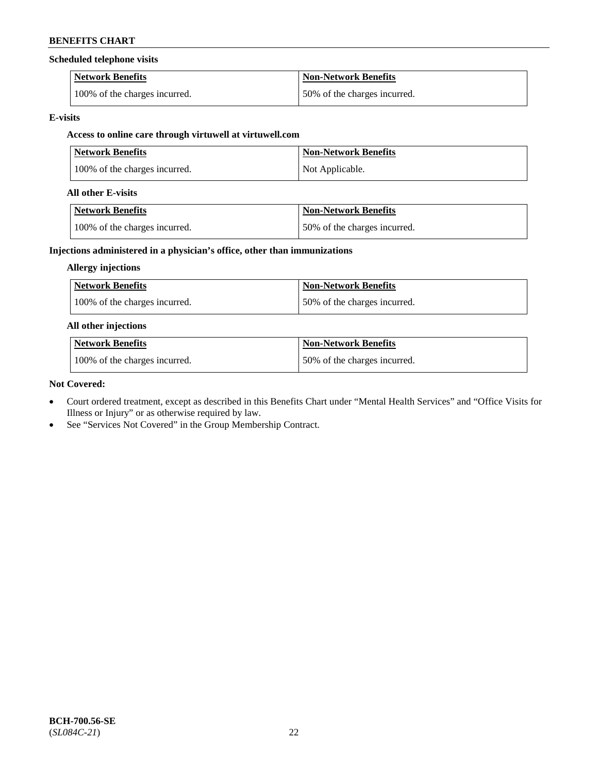#### **Scheduled telephone visits**

| <b>Network Benefits</b>       | <b>Non-Network Benefits</b>  |
|-------------------------------|------------------------------|
| 100% of the charges incurred. | 50% of the charges incurred. |

#### **E-visits**

## **Access to online care through virtuwell at [virtuwell.com](https://www.virtuwell.com/)**

| <b>Network Benefits</b>       | <b>Non-Network Benefits</b> |
|-------------------------------|-----------------------------|
| 100% of the charges incurred. | Not Applicable.             |

#### **All other E-visits**

| Network Benefits              | Non-Network Benefits         |
|-------------------------------|------------------------------|
| 100% of the charges incurred. | 50% of the charges incurred. |

## **Injections administered in a physician's office, other than immunizations**

#### **Allergy injections**

| Network Benefits              | <b>Non-Network Benefits</b>  |
|-------------------------------|------------------------------|
| 100% of the charges incurred. | 50% of the charges incurred. |

#### **All other injections**

| <b>Network Benefits</b>       | <b>Non-Network Benefits</b>  |
|-------------------------------|------------------------------|
| 100% of the charges incurred. | 50% of the charges incurred. |

#### **Not Covered:**

- Court ordered treatment, except as described in this Benefits Chart under "Mental Health Services" and "Office Visits for Illness or Injury" or as otherwise required by law.
- See "Services Not Covered" in the Group Membership Contract.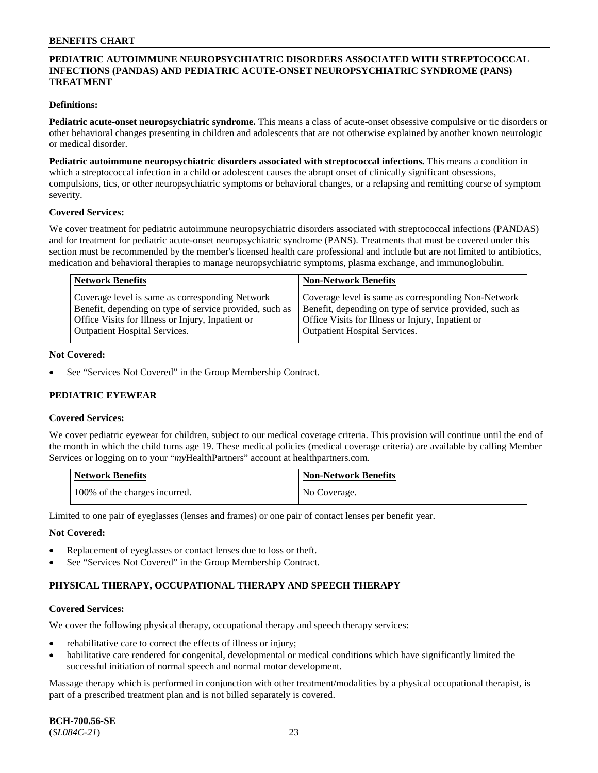## **PEDIATRIC AUTOIMMUNE NEUROPSYCHIATRIC DISORDERS ASSOCIATED WITH STREPTOCOCCAL INFECTIONS (PANDAS) AND PEDIATRIC ACUTE-ONSET NEUROPSYCHIATRIC SYNDROME (PANS) TREATMENT**

#### **Definitions:**

**Pediatric acute-onset neuropsychiatric syndrome.** This means a class of acute-onset obsessive compulsive or tic disorders or other behavioral changes presenting in children and adolescents that are not otherwise explained by another known neurologic or medical disorder.

**Pediatric autoimmune neuropsychiatric disorders associated with streptococcal infections.** This means a condition in which a streptococcal infection in a child or adolescent causes the abrupt onset of clinically significant obsessions, compulsions, tics, or other neuropsychiatric symptoms or behavioral changes, or a relapsing and remitting course of symptom severity.

#### **Covered Services:**

We cover treatment for pediatric autoimmune neuropsychiatric disorders associated with streptococcal infections (PANDAS) and for treatment for pediatric acute-onset neuropsychiatric syndrome (PANS). Treatments that must be covered under this section must be recommended by the member's licensed health care professional and include but are not limited to antibiotics, medication and behavioral therapies to manage neuropsychiatric symptoms, plasma exchange, and immunoglobulin.

| Coverage level is same as corresponding Network<br>Benefit, depending on type of service provided, such as<br>Office Visits for Illness or Injury, Inpatient or<br><b>Outpatient Hospital Services.</b><br><b>Outpatient Hospital Services.</b> | Coverage level is same as corresponding Non-Network<br>Benefit, depending on type of service provided, such as<br>Office Visits for Illness or Injury, Inpatient or |
|-------------------------------------------------------------------------------------------------------------------------------------------------------------------------------------------------------------------------------------------------|---------------------------------------------------------------------------------------------------------------------------------------------------------------------|

#### **Not Covered:**

See "Services Not Covered" in the Group Membership Contract.

## **PEDIATRIC EYEWEAR**

#### **Covered Services:**

We cover pediatric eyewear for children, subject to our medical coverage criteria. This provision will continue until the end of the month in which the child turns age 19. These medical policies (medical coverage criteria) are available by calling Member Services or logging on to your "*my*HealthPartners" account at [healthpartners.com.](https://www.healthpartners.com/hp/index.html)

| Network Benefits              | <b>Non-Network Benefits</b> |
|-------------------------------|-----------------------------|
| 100% of the charges incurred. | No Coverage.                |

Limited to one pair of eyeglasses (lenses and frames) or one pair of contact lenses per benefit year.

#### **Not Covered:**

- Replacement of eyeglasses or contact lenses due to loss or theft.
- See "Services Not Covered" in the Group Membership Contract.

## **PHYSICAL THERAPY, OCCUPATIONAL THERAPY AND SPEECH THERAPY**

#### **Covered Services:**

We cover the following physical therapy, occupational therapy and speech therapy services:

- rehabilitative care to correct the effects of illness or injury;
- habilitative care rendered for congenital, developmental or medical conditions which have significantly limited the successful initiation of normal speech and normal motor development.

Massage therapy which is performed in conjunction with other treatment/modalities by a physical occupational therapist, is part of a prescribed treatment plan and is not billed separately is covered.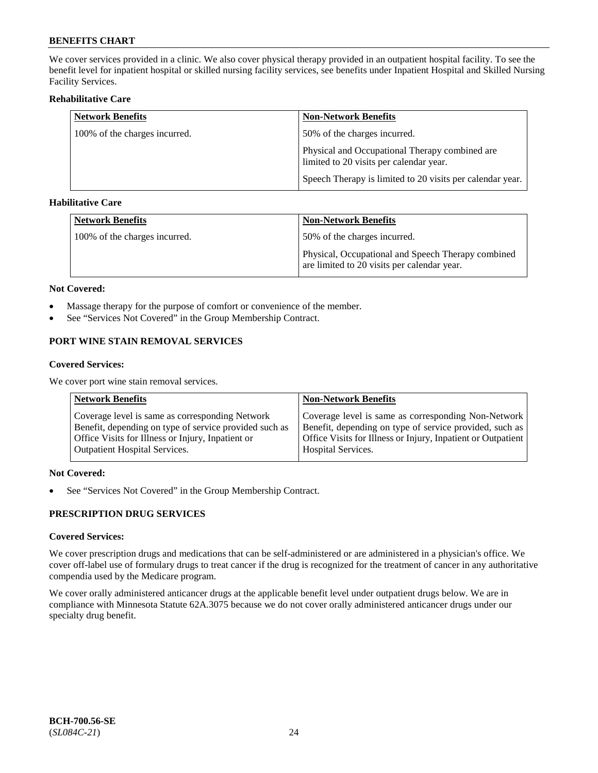We cover services provided in a clinic. We also cover physical therapy provided in an outpatient hospital facility. To see the benefit level for inpatient hospital or skilled nursing facility services, see benefits under Inpatient Hospital and Skilled Nursing Facility Services.

## **Rehabilitative Care**

| <b>Network Benefits</b>       | <b>Non-Network Benefits</b>                                                               |
|-------------------------------|-------------------------------------------------------------------------------------------|
| 100% of the charges incurred. | 50% of the charges incurred.                                                              |
|                               | Physical and Occupational Therapy combined are<br>limited to 20 visits per calendar year. |
|                               | Speech Therapy is limited to 20 visits per calendar year.                                 |

## **Habilitative Care**

| <b>Network Benefits</b>       | <b>Non-Network Benefits</b>                                                                       |
|-------------------------------|---------------------------------------------------------------------------------------------------|
| 100% of the charges incurred. | 50% of the charges incurred.                                                                      |
|                               | Physical, Occupational and Speech Therapy combined<br>are limited to 20 visits per calendar year. |

#### **Not Covered:**

- Massage therapy for the purpose of comfort or convenience of the member.
- See "Services Not Covered" in the Group Membership Contract.

## **PORT WINE STAIN REMOVAL SERVICES**

#### **Covered Services:**

We cover port wine stain removal services.

| <b>Network Benefits</b>                                | <b>Non-Network Benefits</b>                                  |
|--------------------------------------------------------|--------------------------------------------------------------|
| Coverage level is same as corresponding Network        | Coverage level is same as corresponding Non-Network          |
| Benefit, depending on type of service provided such as | Benefit, depending on type of service provided, such as      |
| Office Visits for Illness or Injury, Inpatient or      | Office Visits for Illness or Injury, Inpatient or Outpatient |
| <b>Outpatient Hospital Services.</b>                   | <b>Hospital Services.</b>                                    |

## **Not Covered:**

• See "Services Not Covered" in the Group Membership Contract.

## **PRESCRIPTION DRUG SERVICES**

## **Covered Services:**

We cover prescription drugs and medications that can be self-administered or are administered in a physician's office. We cover off-label use of formulary drugs to treat cancer if the drug is recognized for the treatment of cancer in any authoritative compendia used by the Medicare program.

We cover orally administered anticancer drugs at the applicable benefit level under outpatient drugs below. We are in compliance with Minnesota Statute 62A.3075 because we do not cover orally administered anticancer drugs under our specialty drug benefit.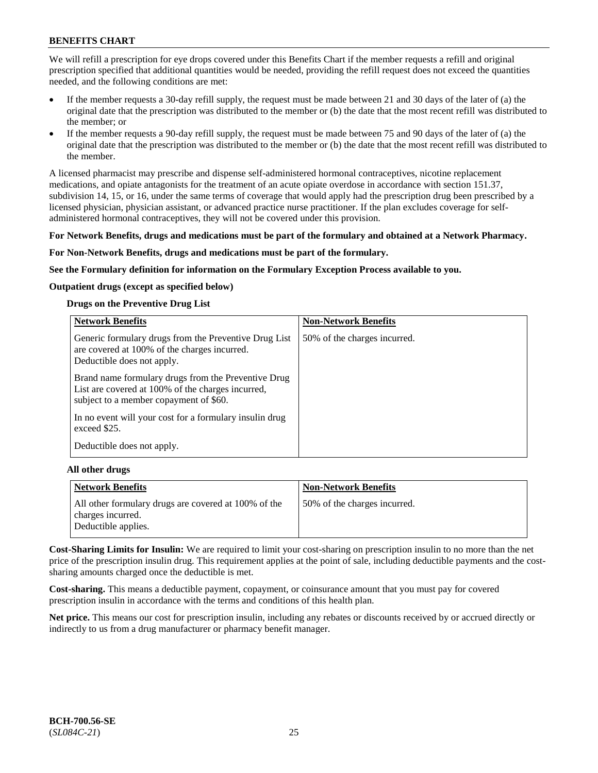We will refill a prescription for eye drops covered under this Benefits Chart if the member requests a refill and original prescription specified that additional quantities would be needed, providing the refill request does not exceed the quantities needed, and the following conditions are met:

- If the member requests a 30-day refill supply, the request must be made between 21 and 30 days of the later of (a) the original date that the prescription was distributed to the member or (b) the date that the most recent refill was distributed to the member; or
- If the member requests a 90-day refill supply, the request must be made between 75 and 90 days of the later of (a) the original date that the prescription was distributed to the member or (b) the date that the most recent refill was distributed to the member.

A licensed pharmacist may prescribe and dispense self-administered hormonal contraceptives, nicotine replacement medications, and opiate antagonists for the treatment of an acute opiate overdose in accordance with section 151.37, subdivision 14, 15, or 16, under the same terms of coverage that would apply had the prescription drug been prescribed by a licensed physician, physician assistant, or advanced practice nurse practitioner. If the plan excludes coverage for selfadministered hormonal contraceptives, they will not be covered under this provision.

#### **For Network Benefits, drugs and medications must be part of the formulary and obtained at a Network Pharmacy.**

#### **For Non-Network Benefits, drugs and medications must be part of the formulary.**

**See the Formulary definition for information on the Formulary Exception Process available to you.**

## **Outpatient drugs (except as specified below)**

#### **Drugs on the Preventive Drug List**

| <b>Network Benefits</b>                                                                                                                            | <b>Non-Network Benefits</b>  |
|----------------------------------------------------------------------------------------------------------------------------------------------------|------------------------------|
| Generic formulary drugs from the Preventive Drug List<br>are covered at 100% of the charges incurred.<br>Deductible does not apply.                | 50% of the charges incurred. |
| Brand name formulary drugs from the Preventive Drug<br>List are covered at 100% of the charges incurred,<br>subject to a member copayment of \$60. |                              |
| In no event will your cost for a formulary insulin drug<br>exceed \$25.                                                                            |                              |
| Deductible does not apply.                                                                                                                         |                              |

#### **All other drugs**

| Network Benefits                                                                                 | <b>Non-Network Benefits</b>  |
|--------------------------------------------------------------------------------------------------|------------------------------|
| All other formulary drugs are covered at 100% of the<br>charges incurred.<br>Deductible applies. | 50% of the charges incurred. |

**Cost-Sharing Limits for Insulin:** We are required to limit your cost-sharing on prescription insulin to no more than the net price of the prescription insulin drug. This requirement applies at the point of sale, including deductible payments and the costsharing amounts charged once the deductible is met.

**Cost-sharing.** This means a deductible payment, copayment, or coinsurance amount that you must pay for covered prescription insulin in accordance with the terms and conditions of this health plan.

**Net price.** This means our cost for prescription insulin, including any rebates or discounts received by or accrued directly or indirectly to us from a drug manufacturer or pharmacy benefit manager.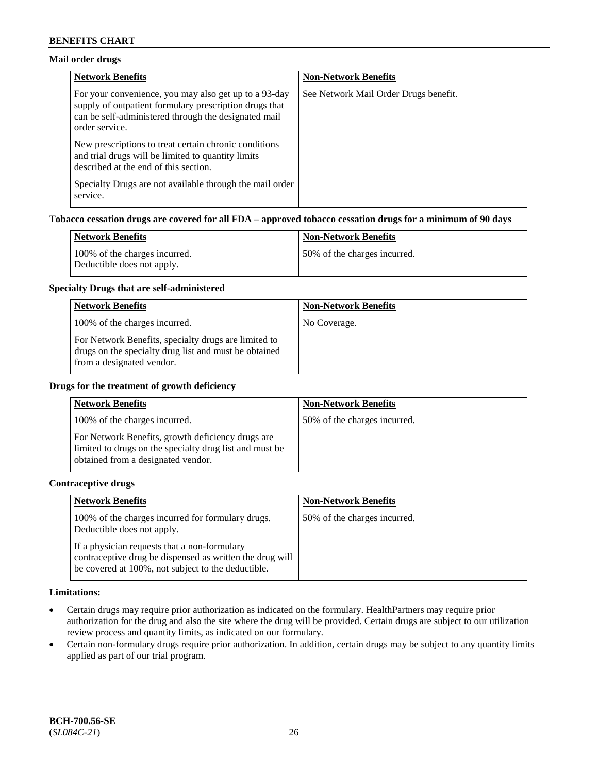## **Mail order drugs**

| <b>Network Benefits</b>                                                                                                                                                                   | <b>Non-Network Benefits</b>           |
|-------------------------------------------------------------------------------------------------------------------------------------------------------------------------------------------|---------------------------------------|
| For your convenience, you may also get up to a 93-day<br>supply of outpatient formulary prescription drugs that<br>can be self-administered through the designated mail<br>order service. | See Network Mail Order Drugs benefit. |
| New prescriptions to treat certain chronic conditions<br>and trial drugs will be limited to quantity limits<br>described at the end of this section.                                      |                                       |
| Specialty Drugs are not available through the mail order<br>service.                                                                                                                      |                                       |

## **Tobacco cessation drugs are covered for all FDA – approved tobacco cessation drugs for a minimum of 90 days**

| Network Benefits                                            | <b>Non-Network Benefits</b>  |
|-------------------------------------------------------------|------------------------------|
| 100% of the charges incurred.<br>Deductible does not apply. | 50% of the charges incurred. |

#### **Specialty Drugs that are self-administered**

| <b>Network Benefits</b>                                                                                                                    | <b>Non-Network Benefits</b> |
|--------------------------------------------------------------------------------------------------------------------------------------------|-----------------------------|
| 100% of the charges incurred.                                                                                                              | No Coverage.                |
| For Network Benefits, specialty drugs are limited to<br>drugs on the specialty drug list and must be obtained<br>from a designated vendor. |                             |

#### **Drugs for the treatment of growth deficiency**

| <b>Network Benefits</b>                                                                                                                            | <b>Non-Network Benefits</b>  |
|----------------------------------------------------------------------------------------------------------------------------------------------------|------------------------------|
| 100% of the charges incurred.                                                                                                                      | 50% of the charges incurred. |
| For Network Benefits, growth deficiency drugs are<br>limited to drugs on the specialty drug list and must be<br>obtained from a designated vendor. |                              |

#### **Contraceptive drugs**

| <b>Network Benefits</b>                                                                                                                                        | <b>Non-Network Benefits</b>  |
|----------------------------------------------------------------------------------------------------------------------------------------------------------------|------------------------------|
| 100% of the charges incurred for formulary drugs.<br>Deductible does not apply.                                                                                | 50% of the charges incurred. |
| If a physician requests that a non-formulary<br>contraceptive drug be dispensed as written the drug will<br>be covered at 100%, not subject to the deductible. |                              |

#### **Limitations:**

- Certain drugs may require prior authorization as indicated on the formulary. HealthPartners may require prior authorization for the drug and also the site where the drug will be provided. Certain drugs are subject to our utilization review process and quantity limits, as indicated on our formulary.
- Certain non-formulary drugs require prior authorization. In addition, certain drugs may be subject to any quantity limits applied as part of our trial program.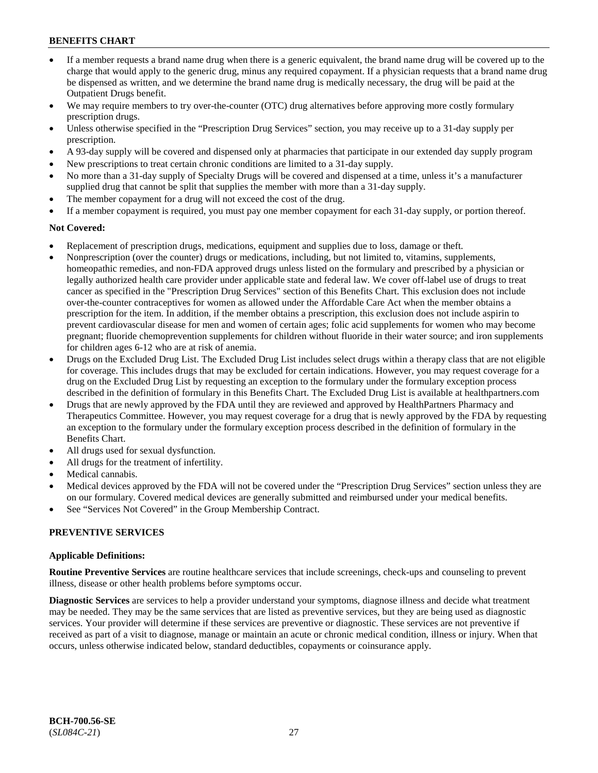- If a member requests a brand name drug when there is a generic equivalent, the brand name drug will be covered up to the charge that would apply to the generic drug, minus any required copayment. If a physician requests that a brand name drug be dispensed as written, and we determine the brand name drug is medically necessary, the drug will be paid at the Outpatient Drugs benefit.
- We may require members to try over-the-counter (OTC) drug alternatives before approving more costly formulary prescription drugs.
- Unless otherwise specified in the "Prescription Drug Services" section, you may receive up to a 31-day supply per prescription.
- A 93-day supply will be covered and dispensed only at pharmacies that participate in our extended day supply program
- New prescriptions to treat certain chronic conditions are limited to a 31-day supply.
- No more than a 31-day supply of Specialty Drugs will be covered and dispensed at a time, unless it's a manufacturer supplied drug that cannot be split that supplies the member with more than a 31-day supply.
- The member copayment for a drug will not exceed the cost of the drug.
- If a member copayment is required, you must pay one member copayment for each 31-day supply, or portion thereof.

#### **Not Covered:**

- Replacement of prescription drugs, medications, equipment and supplies due to loss, damage or theft.
- Nonprescription (over the counter) drugs or medications, including, but not limited to, vitamins, supplements, homeopathic remedies, and non-FDA approved drugs unless listed on the formulary and prescribed by a physician or legally authorized health care provider under applicable state and federal law. We cover off-label use of drugs to treat cancer as specified in the "Prescription Drug Services" section of this Benefits Chart. This exclusion does not include over-the-counter contraceptives for women as allowed under the Affordable Care Act when the member obtains a prescription for the item. In addition, if the member obtains a prescription, this exclusion does not include aspirin to prevent cardiovascular disease for men and women of certain ages; folic acid supplements for women who may become pregnant; fluoride chemoprevention supplements for children without fluoride in their water source; and iron supplements for children ages 6-12 who are at risk of anemia.
- Drugs on the Excluded Drug List. The Excluded Drug List includes select drugs within a therapy class that are not eligible for coverage. This includes drugs that may be excluded for certain indications. However, you may request coverage for a drug on the Excluded Drug List by requesting an exception to the formulary under the formulary exception process described in the definition of formulary in this Benefits Chart. The Excluded Drug List is available at [healthpartners.com](http://www.healthpartners.com/)
- Drugs that are newly approved by the FDA until they are reviewed and approved by HealthPartners Pharmacy and Therapeutics Committee. However, you may request coverage for a drug that is newly approved by the FDA by requesting an exception to the formulary under the formulary exception process described in the definition of formulary in the Benefits Chart.
- All drugs used for sexual dysfunction.
- All drugs for the treatment of infertility.
- Medical cannabis.
- Medical devices approved by the FDA will not be covered under the "Prescription Drug Services" section unless they are on our formulary. Covered medical devices are generally submitted and reimbursed under your medical benefits.
- See "Services Not Covered" in the Group Membership Contract.

## **PREVENTIVE SERVICES**

#### **Applicable Definitions:**

**Routine Preventive Services** are routine healthcare services that include screenings, check-ups and counseling to prevent illness, disease or other health problems before symptoms occur.

**Diagnostic Services** are services to help a provider understand your symptoms, diagnose illness and decide what treatment may be needed. They may be the same services that are listed as preventive services, but they are being used as diagnostic services. Your provider will determine if these services are preventive or diagnostic. These services are not preventive if received as part of a visit to diagnose, manage or maintain an acute or chronic medical condition, illness or injury. When that occurs, unless otherwise indicated below, standard deductibles, copayments or coinsurance apply.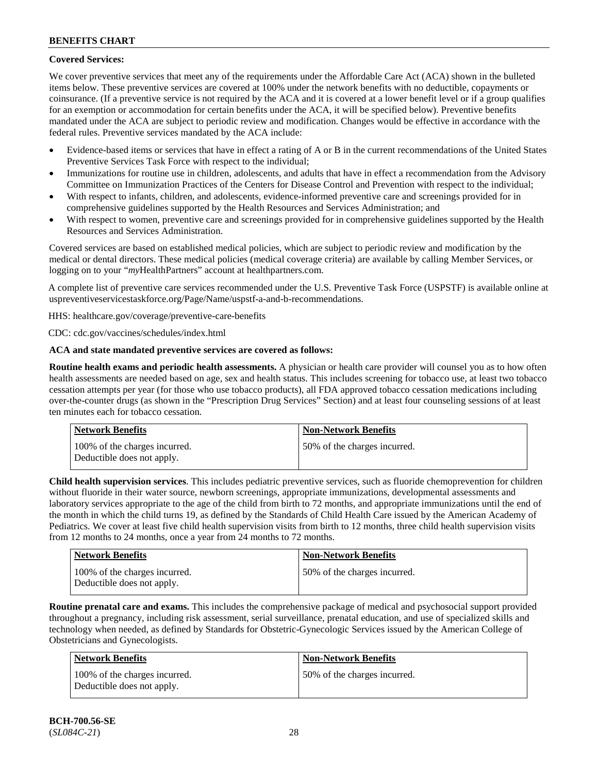## **Covered Services:**

We cover preventive services that meet any of the requirements under the Affordable Care Act (ACA) shown in the bulleted items below. These preventive services are covered at 100% under the network benefits with no deductible, copayments or coinsurance. (If a preventive service is not required by the ACA and it is covered at a lower benefit level or if a group qualifies for an exemption or accommodation for certain benefits under the ACA, it will be specified below). Preventive benefits mandated under the ACA are subject to periodic review and modification. Changes would be effective in accordance with the federal rules. Preventive services mandated by the ACA include:

- Evidence-based items or services that have in effect a rating of A or B in the current recommendations of the United States Preventive Services Task Force with respect to the individual;
- Immunizations for routine use in children, adolescents, and adults that have in effect a recommendation from the Advisory Committee on Immunization Practices of the Centers for Disease Control and Prevention with respect to the individual;
- With respect to infants, children, and adolescents, evidence-informed preventive care and screenings provided for in comprehensive guidelines supported by the Health Resources and Services Administration; and
- With respect to women, preventive care and screenings provided for in comprehensive guidelines supported by the Health Resources and Services Administration.

Covered services are based on established medical policies, which are subject to periodic review and modification by the medical or dental directors. These medical policies (medical coverage criteria) are available by calling Member Services, or logging on to your "*my*HealthPartners" account at [healthpartners.com.](http://www.healthpartners.com/)

A complete list of preventive care services recommended under the U.S. Preventive Task Force (USPSTF) is available online at [uspreventiveservicestaskforce.org/Page/Name/uspstf-a-and-b-recommendations.](https://www.uspreventiveservicestaskforce.org/Page/Name/uspstf-a-and-b-recommendations-by-date/)

HHS: [healthcare.gov/coverage/preventive-care-benefits](https://www.healthcare.gov/coverage/preventive-care-benefits/)

CDC: [cdc.gov/vaccines/schedules/index.html](https://www.cdc.gov/vaccines/schedules/index.html)

## **ACA and state mandated preventive services are covered as follows:**

**Routine health exams and periodic health assessments.** A physician or health care provider will counsel you as to how often health assessments are needed based on age, sex and health status. This includes screening for tobacco use, at least two tobacco cessation attempts per year (for those who use tobacco products), all FDA approved tobacco cessation medications including over-the-counter drugs (as shown in the "Prescription Drug Services" Section) and at least four counseling sessions of at least ten minutes each for tobacco cessation.

| Network Benefits                                            | <b>Non-Network Benefits</b>  |
|-------------------------------------------------------------|------------------------------|
| 100% of the charges incurred.<br>Deductible does not apply. | 50% of the charges incurred. |

**Child health supervision services**. This includes pediatric preventive services, such as fluoride chemoprevention for children without fluoride in their water source, newborn screenings, appropriate immunizations, developmental assessments and laboratory services appropriate to the age of the child from birth to 72 months, and appropriate immunizations until the end of the month in which the child turns 19, as defined by the Standards of Child Health Care issued by the American Academy of Pediatrics. We cover at least five child health supervision visits from birth to 12 months, three child health supervision visits from 12 months to 24 months, once a year from 24 months to 72 months.

| <b>Network Benefits</b>                                     | <b>Non-Network Benefits</b>  |
|-------------------------------------------------------------|------------------------------|
| 100% of the charges incurred.<br>Deductible does not apply. | 50% of the charges incurred. |

**Routine prenatal care and exams.** This includes the comprehensive package of medical and psychosocial support provided throughout a pregnancy, including risk assessment, serial surveillance, prenatal education, and use of specialized skills and technology when needed, as defined by Standards for Obstetric-Gynecologic Services issued by the American College of Obstetricians and Gynecologists.

| Network Benefits                                            | <b>Non-Network Benefits</b>  |
|-------------------------------------------------------------|------------------------------|
| 100% of the charges incurred.<br>Deductible does not apply. | 50% of the charges incurred. |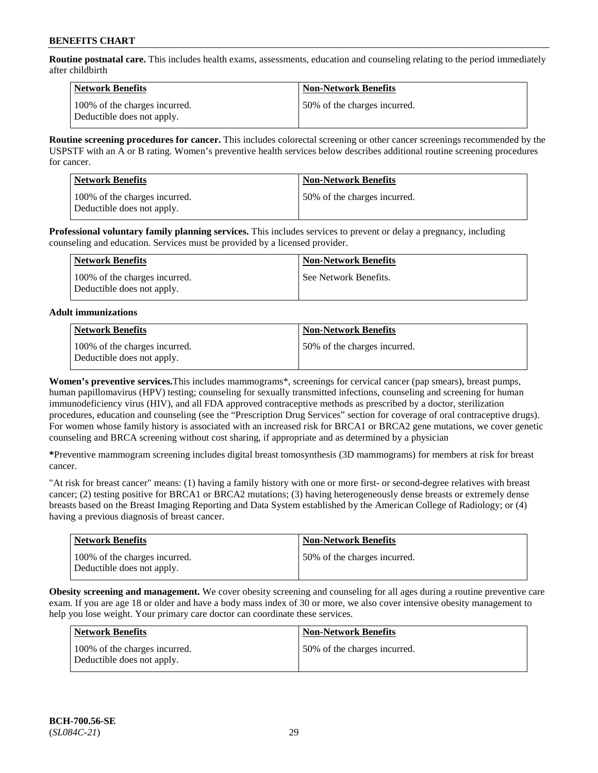**Routine postnatal care.** This includes health exams, assessments, education and counseling relating to the period immediately after childbirth

| Network Benefits                                            | <b>Non-Network Benefits</b>  |
|-------------------------------------------------------------|------------------------------|
| 100% of the charges incurred.<br>Deductible does not apply. | 50% of the charges incurred. |

**Routine screening procedures for cancer.** This includes colorectal screening or other cancer screenings recommended by the USPSTF with an A or B rating. Women's preventive health services below describes additional routine screening procedures for cancer.

| <b>Network Benefits</b>                                     | <b>Non-Network Benefits</b>  |
|-------------------------------------------------------------|------------------------------|
| 100% of the charges incurred.<br>Deductible does not apply. | 50% of the charges incurred. |

**Professional voluntary family planning services.** This includes services to prevent or delay a pregnancy, including counseling and education. Services must be provided by a licensed provider.

| Network Benefits                                            | <b>Non-Network Benefits</b> |
|-------------------------------------------------------------|-----------------------------|
| 100% of the charges incurred.<br>Deductible does not apply. | See Network Benefits.       |

## **Adult immunizations**

| <b>Network Benefits</b>                                     | <b>Non-Network Benefits</b>  |
|-------------------------------------------------------------|------------------------------|
| 100% of the charges incurred.<br>Deductible does not apply. | 50% of the charges incurred. |

**Women's preventive services.**This includes mammograms\*, screenings for cervical cancer (pap smears), breast pumps, human papillomavirus (HPV) testing; counseling for sexually transmitted infections, counseling and screening for human immunodeficiency virus (HIV), and all FDA approved contraceptive methods as prescribed by a doctor, sterilization procedures, education and counseling (see the "Prescription Drug Services" section for coverage of oral contraceptive drugs). For women whose family history is associated with an increased risk for BRCA1 or BRCA2 gene mutations, we cover genetic counseling and BRCA screening without cost sharing, if appropriate and as determined by a physician

**\***Preventive mammogram screening includes digital breast tomosynthesis (3D mammograms) for members at risk for breast cancer.

"At risk for breast cancer" means: (1) having a family history with one or more first- or second-degree relatives with breast cancer; (2) testing positive for BRCA1 or BRCA2 mutations; (3) having heterogeneously dense breasts or extremely dense breasts based on the Breast Imaging Reporting and Data System established by the American College of Radiology; or (4) having a previous diagnosis of breast cancer.

| <b>Network Benefits</b>                                     | <b>Non-Network Benefits</b>  |
|-------------------------------------------------------------|------------------------------|
| 100% of the charges incurred.<br>Deductible does not apply. | 50% of the charges incurred. |

**Obesity screening and management.** We cover obesity screening and counseling for all ages during a routine preventive care exam. If you are age 18 or older and have a body mass index of 30 or more, we also cover intensive obesity management to help you lose weight. Your primary care doctor can coordinate these services.

| Network Benefits                                            | <b>Non-Network Benefits</b>  |
|-------------------------------------------------------------|------------------------------|
| 100% of the charges incurred.<br>Deductible does not apply. | 50% of the charges incurred. |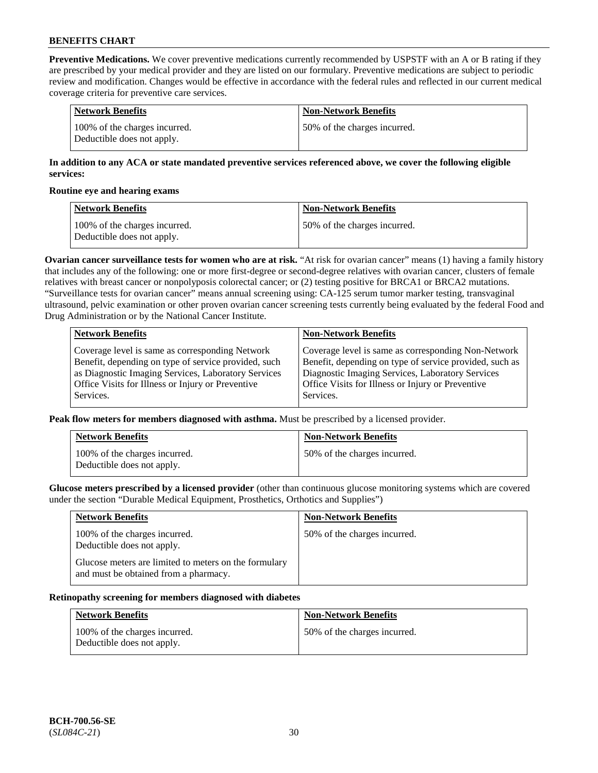**Preventive Medications.** We cover preventive medications currently recommended by USPSTF with an A or B rating if they are prescribed by your medical provider and they are listed on our formulary. Preventive medications are subject to periodic review and modification. Changes would be effective in accordance with the federal rules and reflected in our current medical coverage criteria for preventive care services.

| Network Benefits                                            | <b>Non-Network Benefits</b>  |
|-------------------------------------------------------------|------------------------------|
| 100% of the charges incurred.<br>Deductible does not apply. | 50% of the charges incurred. |

## **In addition to any ACA or state mandated preventive services referenced above, we cover the following eligible services:**

#### **Routine eye and hearing exams**

| <b>Network Benefits</b>                                     | <b>Non-Network Benefits</b>  |
|-------------------------------------------------------------|------------------------------|
| 100% of the charges incurred.<br>Deductible does not apply. | 50% of the charges incurred. |

**Ovarian cancer surveillance tests for women who are at risk.** "At risk for ovarian cancer" means (1) having a family history that includes any of the following: one or more first-degree or second-degree relatives with ovarian cancer, clusters of female relatives with breast cancer or nonpolyposis colorectal cancer; or (2) testing positive for BRCA1 or BRCA2 mutations. "Surveillance tests for ovarian cancer" means annual screening using: CA-125 serum tumor marker testing, transvaginal ultrasound, pelvic examination or other proven ovarian cancer screening tests currently being evaluated by the federal Food and Drug Administration or by the National Cancer Institute.

| <b>Network Benefits</b>                              | <b>Non-Network Benefits</b>                             |
|------------------------------------------------------|---------------------------------------------------------|
| Coverage level is same as corresponding Network      | Coverage level is same as corresponding Non-Network     |
| Benefit, depending on type of service provided, such | Benefit, depending on type of service provided, such as |
| as Diagnostic Imaging Services, Laboratory Services  | Diagnostic Imaging Services, Laboratory Services        |
| Office Visits for Illness or Injury or Preventive    | Office Visits for Illness or Injury or Preventive       |
| Services.                                            | Services.                                               |

**Peak flow meters for members diagnosed with asthma.** Must be prescribed by a licensed provider.

| <b>Network Benefits</b>                                     | <b>Non-Network Benefits</b>  |
|-------------------------------------------------------------|------------------------------|
| 100% of the charges incurred.<br>Deductible does not apply. | 50% of the charges incurred. |

**Glucose meters prescribed by a licensed provider** (other than continuous glucose monitoring systems which are covered under the section "Durable Medical Equipment, Prosthetics, Orthotics and Supplies")

| <b>Network Benefits</b>                                                                        | <b>Non-Network Benefits</b>  |
|------------------------------------------------------------------------------------------------|------------------------------|
| 100% of the charges incurred.<br>Deductible does not apply.                                    | 50% of the charges incurred. |
| Glucose meters are limited to meters on the formulary<br>and must be obtained from a pharmacy. |                              |

#### **Retinopathy screening for members diagnosed with diabetes**

| <b>Network Benefits</b>                                     | <b>Non-Network Benefits</b>  |
|-------------------------------------------------------------|------------------------------|
| 100% of the charges incurred.<br>Deductible does not apply. | 50% of the charges incurred. |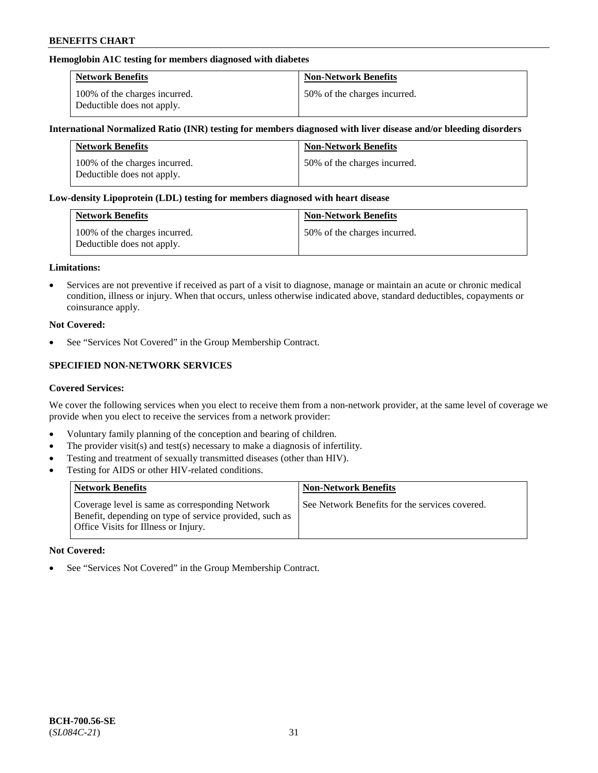## **Hemoglobin A1C testing for members diagnosed with diabetes**

| <b>Network Benefits</b>                                     | <b>Non-Network Benefits</b>  |
|-------------------------------------------------------------|------------------------------|
| 100% of the charges incurred.<br>Deductible does not apply. | 50% of the charges incurred. |

#### **International Normalized Ratio (INR) testing for members diagnosed with liver disease and/or bleeding disorders**

| <b>Network Benefits</b>                                     | <b>Non-Network Benefits</b>  |
|-------------------------------------------------------------|------------------------------|
| 100% of the charges incurred.<br>Deductible does not apply. | 50% of the charges incurred. |

#### **Low-density Lipoprotein (LDL) testing for members diagnosed with heart disease**

| <b>Network Benefits</b>                                     | <b>Non-Network Benefits</b>  |
|-------------------------------------------------------------|------------------------------|
| 100% of the charges incurred.<br>Deductible does not apply. | 50% of the charges incurred. |

#### **Limitations:**

• Services are not preventive if received as part of a visit to diagnose, manage or maintain an acute or chronic medical condition, illness or injury. When that occurs, unless otherwise indicated above, standard deductibles, copayments or coinsurance apply.

#### **Not Covered:**

See "Services Not Covered" in the Group Membership Contract.

## **SPECIFIED NON-NETWORK SERVICES**

#### **Covered Services:**

We cover the following services when you elect to receive them from a non-network provider, at the same level of coverage we provide when you elect to receive the services from a network provider:

- Voluntary family planning of the conception and bearing of children.
- The provider visit(s) and test(s) necessary to make a diagnosis of infertility.
- Testing and treatment of sexually transmitted diseases (other than HIV).
- Testing for AIDS or other HIV-related conditions.

| <b>Network Benefits</b>                                                                                                                            | <b>Non-Network Benefits</b>                    |
|----------------------------------------------------------------------------------------------------------------------------------------------------|------------------------------------------------|
| Coverage level is same as corresponding Network<br>Benefit, depending on type of service provided, such as<br>Office Visits for Illness or Injury. | See Network Benefits for the services covered. |

#### **Not Covered:**

• See "Services Not Covered" in the Group Membership Contract.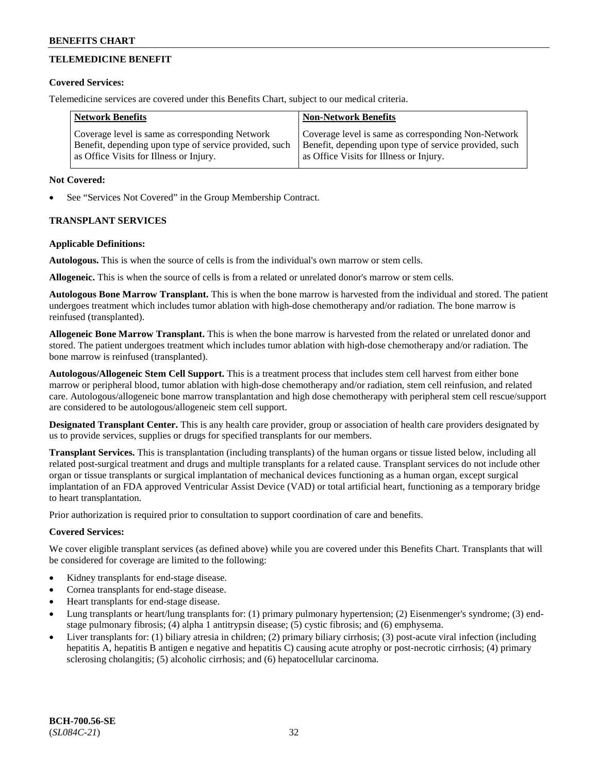## **TELEMEDICINE BENEFIT**

#### **Covered Services:**

Telemedicine services are covered under this Benefits Chart, subject to our medical criteria.

| <b>Network Benefits</b>                                | <b>Non-Network Benefits</b>                            |
|--------------------------------------------------------|--------------------------------------------------------|
| Coverage level is same as corresponding Network        | Coverage level is same as corresponding Non-Network    |
| Benefit, depending upon type of service provided, such | Benefit, depending upon type of service provided, such |
| as Office Visits for Illness or Injury.                | as Office Visits for Illness or Injury.                |

#### **Not Covered:**

See "Services Not Covered" in the Group Membership Contract.

## **TRANSPLANT SERVICES**

#### **Applicable Definitions:**

**Autologous.** This is when the source of cells is from the individual's own marrow or stem cells.

**Allogeneic.** This is when the source of cells is from a related or unrelated donor's marrow or stem cells.

**Autologous Bone Marrow Transplant.** This is when the bone marrow is harvested from the individual and stored. The patient undergoes treatment which includes tumor ablation with high-dose chemotherapy and/or radiation. The bone marrow is reinfused (transplanted).

**Allogeneic Bone Marrow Transplant.** This is when the bone marrow is harvested from the related or unrelated donor and stored. The patient undergoes treatment which includes tumor ablation with high-dose chemotherapy and/or radiation. The bone marrow is reinfused (transplanted).

**Autologous/Allogeneic Stem Cell Support.** This is a treatment process that includes stem cell harvest from either bone marrow or peripheral blood, tumor ablation with high-dose chemotherapy and/or radiation, stem cell reinfusion, and related care. Autologous/allogeneic bone marrow transplantation and high dose chemotherapy with peripheral stem cell rescue/support are considered to be autologous/allogeneic stem cell support.

**Designated Transplant Center.** This is any health care provider, group or association of health care providers designated by us to provide services, supplies or drugs for specified transplants for our members.

**Transplant Services.** This is transplantation (including transplants) of the human organs or tissue listed below, including all related post-surgical treatment and drugs and multiple transplants for a related cause. Transplant services do not include other organ or tissue transplants or surgical implantation of mechanical devices functioning as a human organ, except surgical implantation of an FDA approved Ventricular Assist Device (VAD) or total artificial heart, functioning as a temporary bridge to heart transplantation.

Prior authorization is required prior to consultation to support coordination of care and benefits.

## **Covered Services:**

We cover eligible transplant services (as defined above) while you are covered under this Benefits Chart. Transplants that will be considered for coverage are limited to the following:

- Kidney transplants for end-stage disease.
- Cornea transplants for end-stage disease.
- Heart transplants for end-stage disease.
- Lung transplants or heart/lung transplants for: (1) primary pulmonary hypertension; (2) Eisenmenger's syndrome; (3) endstage pulmonary fibrosis; (4) alpha 1 antitrypsin disease; (5) cystic fibrosis; and (6) emphysema.
- Liver transplants for: (1) biliary atresia in children; (2) primary biliary cirrhosis; (3) post-acute viral infection (including hepatitis A, hepatitis B antigen e negative and hepatitis C) causing acute atrophy or post-necrotic cirrhosis; (4) primary sclerosing cholangitis; (5) alcoholic cirrhosis; and (6) hepatocellular carcinoma.